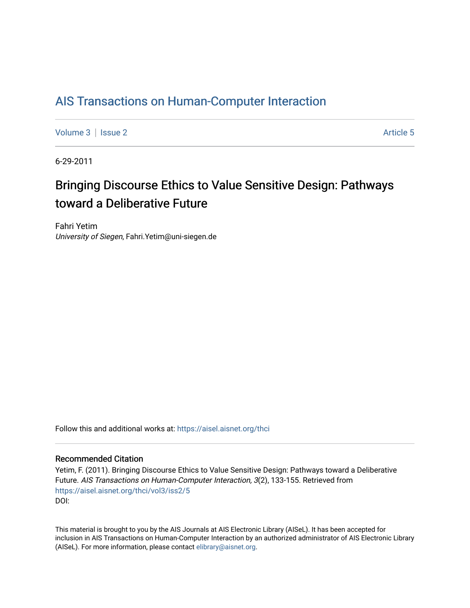### [AIS Transactions on Human-Computer Interaction](https://aisel.aisnet.org/thci)

[Volume 3](https://aisel.aisnet.org/thci/vol3) | [Issue 2](https://aisel.aisnet.org/thci/vol3/iss2) Article 5

6-29-2011

## Bringing Discourse Ethics to Value Sensitive Design: Pathways toward a Deliberative Future

Fahri Yetim University of Siegen, Fahri.Yetim@uni-siegen.de

Follow this and additional works at: [https://aisel.aisnet.org/thci](https://aisel.aisnet.org/thci?utm_source=aisel.aisnet.org%2Fthci%2Fvol3%2Fiss2%2F5&utm_medium=PDF&utm_campaign=PDFCoverPages) 

#### Recommended Citation

Yetim, F. (2011). Bringing Discourse Ethics to Value Sensitive Design: Pathways toward a Deliberative Future. AIS Transactions on Human-Computer Interaction, 3(2), 133-155. Retrieved from [https://aisel.aisnet.org/thci/vol3/iss2/5](https://aisel.aisnet.org/thci/vol3/iss2/5?utm_source=aisel.aisnet.org%2Fthci%2Fvol3%2Fiss2%2F5&utm_medium=PDF&utm_campaign=PDFCoverPages)  DOI:

This material is brought to you by the AIS Journals at AIS Electronic Library (AISeL). It has been accepted for inclusion in AIS Transactions on Human-Computer Interaction by an authorized administrator of AIS Electronic Library (AISeL). For more information, please contact [elibrary@aisnet.org](mailto:elibrary@aisnet.org%3E).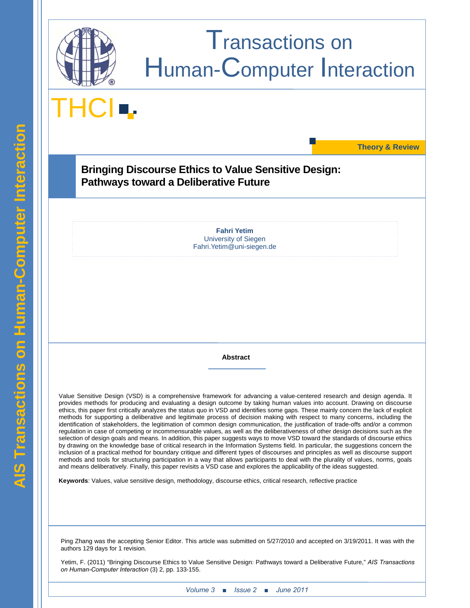

# Transactions on Human-Computer Interaction

THCI<sup>I</sup>

**Theory & Review** 

**Bringing Discourse Ethics to Value Sensitive Design: Pathways toward a Deliberative Future** 

> **Fahri Yetim**  University of Siegen Fahri.Yetim@uni-siegen.de

> > **Abstract**

Value Sensitive Design (VSD) is a comprehensive framework for advancing a value-centered research and design agenda. It provides methods for producing and evaluating a design outcome by taking human values into account. Drawing on discourse ethics, this paper first critically analyzes the status quo in VSD and identifies some gaps. These mainly concern the lack of explicit methods for supporting a deliberative and legitimate process of decision making with respect to many concerns, including the identification of stakeholders, the legitimation of common design communication, the justification of trade-offs and/or a common regulation in case of competing or incommensurable values, as well as the deliberativeness of other design decisions such as the selection of design goals and means. In addition, this paper suggests ways to move VSD toward the standards of discourse ethics by drawing on the knowledge base of critical research in the Information Systems field. In particular, the suggestions concern the inclusion of a practical method for boundary critique and different types of discourses and principles as well as discourse support methods and tools for structuring participation in a way that allows participants to deal with the plurality of values, norms, goals and means deliberatively. Finally, this paper revisits a VSD case and explores the applicability of the ideas suggested.

**Keywords**: Values, value sensitive design, methodology, discourse ethics, critical research, reflective practice

Ping Zhang was the accepting Senior Editor. This article was submitted on 5/27/2010 and accepted on 3/19/2011. It was with the authors 129 days for 1 revision.

Yetim, F. (2011) "Bringing Discourse Ethics to Value Sensitive Design: Pathways toward a Deliberative Future," *AIS Transactions on Human-Computer Interaction* (3) 2, pp. 133-155.

 $\overline{a}$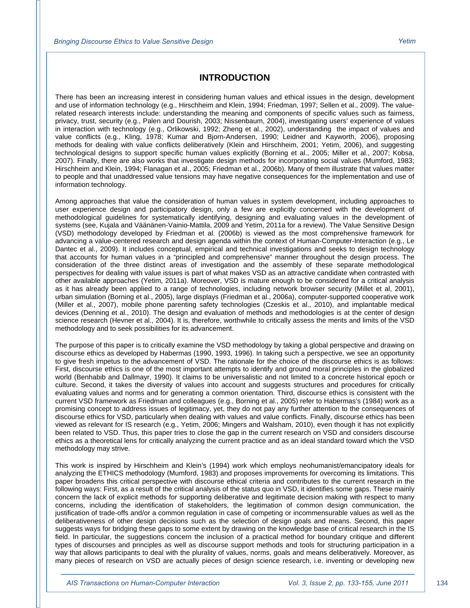#### **INTRODUCTION**

There has been an increasing interest in considering human values and ethical issues in the design, development and use of information technology (e.g., Hirschheim and Klein, 1994; Friedman, 1997; Sellen et al., 2009). The valuerelated research interests include: understanding the meaning and components of specific values such as fairness, privacy, trust, security (e.g., Palen and Dourish, 2003; Nissenbaum, 2004), investigating users' experience of values in interaction with technology (e.g., Orlikowski, 1992; Zheng et al., 2002), understanding the impact of values and value conflicts (e.g., Kling, 1978; Kumar and Bjorn-Andersen, 1990; Leidner and Kayworth, 2006), proposing methods for dealing with value conflicts deliberatively (Klein and Hirschheim, 2001; Yetim, 2006), and suggesting technological designs to support specific human values explicitly (Borning et al., 2005; Miller et al., 2007; Kobsa, 2007). Finally, there are also works that investigate design methods for incorporating social values (Mumford, 1983; Hirschheim and Klein, 1994; Flanagan et al., 2005; Friedman et al., 2006b). Many of them illustrate that values matter to people and that unaddressed value tensions may have negative consequences for the implementation and use of information technology.

Among approaches that value the consideration of human values in system development, including approaches to user experience design and participatory design, only a few are explicitly concerned with the development of methodological guidelines for systematically identifying, designing and evaluating values in the development of systems (see, Kujala and Väänänen-Vainio-Mattila, 2009 and Yetim, 2011a for a review). The Value Sensitive Design (VSD) methodology developed by Friedman et al. (2006b) is viewed as the most comprehensive framework for advancing a value-centered research and design agenda within the context of Human-Computer-Interaction (e.g., Le Dantec et al., 2009). It includes conceptual, empirical and technical investigations and seeks to design technology that accounts for human values in a "principled and comprehensive" manner throughout the design process. The consideration of the three distinct areas of investigation and the assembly of these separate methodological perspectives for dealing with value issues is part of what makes VSD as an attractive candidate when contrasted with other available approaches (Yetim, 2011a). Moreover, VSD is mature enough to be considered for a critical analysis as it has already been applied to a range of technologies, including network browser security (Millet et al, 2001), urban simulation (Borning et al., 2005), large displays (Friedman et al., 2006a), computer-supported cooperative work (Miller et al., 2007), mobile phone parenting safety technologies (Czeskis et al., 2010), and implantable medical devices (Denning et al., 2010). The design and evaluation of methods and methodologies is at the center of design science research (Hevner et al., 2004). It is, therefore, worthwhile to critically assess the merits and limits of the VSD methodology and to seek possibilities for its advancement.

The purpose of this paper is to critically examine the VSD methodology by taking a global perspective and drawing on discourse ethics as developed by Habermas (1990, 1993, 1996). In taking such a perspective, we see an opportunity to give fresh impetus to the advancement of VSD. The rationale for the choice of the discourse ethics is as follows: First, discourse ethics is one of the most important attempts to identify and ground moral principles in the globalized world (Benhabib and Dallmayr, 1990). It claims to be universalistic and not limited to a concrete historical epoch or culture. Second, it takes the diversity of values into account and suggests structures and procedures for critically evaluating values and norms and for generating a common orientation. Third, discourse ethics is consistent with the current VSD framework as Friedman and colleagues (e.g., Borning et al., 2005) refer to Habermas's (1984) work as a promising concept to address issues of legitimacy, yet, they do not pay any further attention to the consequences of discourse ethics for VSD, particularly when dealing with values and value conflicts. Finally, discourse ethics has been viewed as relevant for IS research (e.g., Yetim, 2006; Mingers and Walsham, 2010), even though it has not explicitly been related to VSD. Thus, this paper tries to close the gap in the current research on VSD and considers discourse ethics as a theoretical lens for critically analyzing the current practice and as an ideal standard toward which the VSD methodology may strive.

This work is inspired by Hirschheim and Klein's (1994) work which employs neohumanist/emancipatory ideals for analyzing the ETHICS methodology (Mumford, 1983) and proposes improvements for overcoming its limitations. This paper broadens this critical perspective with discourse ethical criteria and contributes to the current research in the following ways: First, as a result of the critical analysis of the status quo in VSD, it identifies some gaps. These mainly concern the lack of explicit methods for supporting deliberative and legitimate decision making with respect to many concerns, including the identification of stakeholders, the legitimation of common design communication, the justification of trade-offs and/or a common regulation in case of competing or incommensurable values as well as the deliberativeness of other design decisions such as the selection of design goals and means. Second, this paper suggests ways for bridging these gaps to some extent by drawing on the knowledge base of critical research in the IS field. In particular, the suggestions concern the inclusion of a practical method for boundary critique and different types of discourses and principles as well as discourse support methods and tools for structuring participation in a way that allows participants to deal with the plurality of values, norms, goals and means deliberatively. Moreover, as many pieces of research on VSD are actually pieces of design science research, i.e. inventing or developing new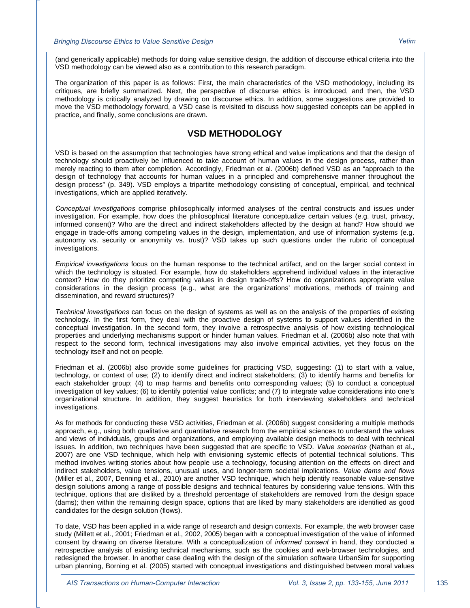(and generically applicable) methods for doing value sensitive design, the addition of discourse ethical criteria into the VSD methodology can be viewed also as a contribution to this research paradigm.

The organization of this paper is as follows: First, the main characteristics of the VSD methodology, including its critiques, are briefly summarized. Next, the perspective of discourse ethics is introduced, and then, the VSD methodology is critically analyzed by drawing on discourse ethics. In addition, some suggestions are provided to move the VSD methodology forward, a VSD case is revisited to discuss how suggested concepts can be applied in practice, and finally, some conclusions are drawn.

#### **VSD METHODOLOGY**

VSD is based on the assumption that technologies have strong ethical and value implications and that the design of technology should proactively be influenced to take account of human values in the design process, rather than merely reacting to them after completion. Accordingly, Friedman et al. (2006b) defined VSD as an "approach to the design of technology that accounts for human values in a principled and comprehensive manner throughout the design process" (p. 349). VSD employs a tripartite methodology consisting of conceptual, empirical, and technical investigations, which are applied iteratively.

*Conceptual investigations* comprise philosophically informed analyses of the central constructs and issues under investigation. For example, how does the philosophical literature conceptualize certain values (e.g. trust, privacy, informed consent)? Who are the direct and indirect stakeholders affected by the design at hand? How should we engage in trade-offs among competing values in the design, implementation, and use of information systems (e.g. autonomy vs. security or anonymity vs. trust)? VSD takes up such questions under the rubric of conceptual investigations.

*Empirical investigations* focus on the human response to the technical artifact, and on the larger social context in which the technology is situated. For example, how do stakeholders apprehend individual values in the interactive context? How do they prioritize competing values in design trade-offs? How do organizations appropriate value considerations in the design process (e.g., what are the organizations' motivations, methods of training and dissemination, and reward structures)?

*Technical investigations* can focus on the design of systems as well as on the analysis of the properties of existing technology. In the first form, they deal with the proactive design of systems to support values identified in the conceptual investigation. In the second form, they involve a retrospective analysis of how existing technological properties and underlying mechanisms support or hinder human values. Friedman et al. (2006b) also note that with respect to the second form, technical investigations may also involve empirical activities, yet they focus on the technology itself and not on people.

Friedman et al. (2006b) also provide some guidelines for practicing VSD, suggesting: (1) to start with a value, technology, or context of use; (2) to identify direct and indirect stakeholders; (3) to identify harms and benefits for each stakeholder group; (4) to map harms and benefits onto corresponding values; (5) to conduct a conceptual investigation of key values; (6) to identify potential value conflicts; and (7) to integrate value considerations into one's organizational structure. In addition, they suggest heuristics for both interviewing stakeholders and technical investigations.

As for methods for conducting these VSD activities, Friedman et al. (2006b) suggest considering a multiple methods approach, e.g., using both qualitative and quantitative research from the empirical sciences to understand the values and views of individuals, groups and organizations, and employing available design methods to deal with technical issues. In addition, two techniques have been suggested that are specific to VSD. *Value scenarios* (Nathan et al., 2007) are one VSD technique, which help with envisioning systemic effects of potential technical solutions. This method involves writing stories about how people use a technology, focusing attention on the effects on direct and indirect stakeholders, value tensions, unusual uses, and longer-term societal implications. *Value dams and flows* (Miller et al., 2007, Denning et al., 2010) are another VSD technique, which help identify reasonable value-sensitive design solutions among a range of possible designs and technical features by considering value tensions. With this technique, options that are disliked by a threshold percentage of stakeholders are removed from the design space (dams); then within the remaining design space, options that are liked by many stakeholders are identified as good candidates for the design solution (flows).

To date, VSD has been applied in a wide range of research and design contexts. For example, the web browser case study (Millett et al., 2001; Friedman et al., 2002, 2005) began with a conceptual investigation of the value of informed consent by drawing on diverse literature. With a conceptualization of *informed consent* in hand, they conducted a retrospective analysis of existing technical mechanisms, such as the cookies and web-browser technologies, and redesigned the browser. In another case dealing with the design of the simulation software UrbanSim for supporting urban planning, Borning et al. (2005) started with conceptual investigations and distinguished between moral values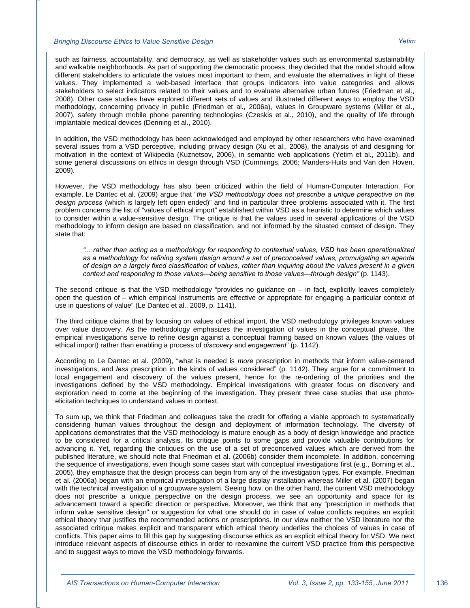such as fairness, accountability, and democracy, as well as stakeholder values such as environmental sustainability and walkable neighborhoods. As part of supporting the democratic process, they decided that the model should allow different stakeholders to articulate the values most important to them, and evaluate the alternatives in light of these values. They implemented a web-based interface that groups indicators into value categories and allows stakeholders to select indicators related to their values and to evaluate alternative urban futures (Friedman et al., 2008). Other case studies have explored different sets of values and illustrated different ways to employ the VSD methodology, concerning privacy in public (Friedman et al., 2006a), values in Groupware systems (Miller et al., 2007), safety through mobile phone parenting technologies (Czeskis et al., 2010), and the quality of life through implantable medical devices (Denning et al., 2010).

In addition, the VSD methodology has been acknowledged and employed by other researchers who have examined several issues from a VSD perceptive, including privacy design (Xu et al., 2008), the analysis of and designing for motivation in the context of Wikipedia (Kuznetsov, 2006), in semantic web applications (Yetim et al., 2011b), and some general discussions on ethics in design through VSD (Cummings, 2006; Manders-Huits and Van den Hoven, 2009).

However, the VSD methodology has also been criticized within the field of Human-Computer Interaction. For example, Le Dantec et al. (2009) argue that "*the VSD methodology does not prescribe a unique perspective on the design process* (which is largely left open ended)" and find in particular three problems associated with it. The first problem concerns the list of "values of ethical import" established within VSD as a heuristic to determine which values to consider within a value-sensitive design. The critique is that the values used in several applications of the VSD methodology to inform design are based on classification, and not informed by the situated context of design. They state that:

*"... rather than acting as a methodology for responding to contextual values, VSD has been operationalized as a methodology for refining system design around a set of preconceived values, promulgating an agenda of design on a largely fixed classification of values, rather than inquiring about the values present in a given context and responding to those values—being sensitive to those values—through design"* (p. 1143).

The second critique is that the VSD methodology "provides no quidance on  $-$  in fact, explicitly leaves completely open the question of – which empirical instruments are effective or appropriate for engaging a particular context of use in questions of value" (Le Dantec et al., 2009, p. 1141).

The third critique claims that by focusing on values of ethical import, the VSD methodology privileges known values over value discovery. As the methodology emphasizes the investigation of values in the conceptual phase, "the empirical investigations serve to refine design against a conceptual framing based on known values (the values of ethical import) rather than enabling a process of *discovery* and *engagement*" (p. 1142).

According to Le Dantec et al. (2009), "what is needed is *more* prescription in methods that inform value-centered investigations, and *less* prescription in the kinds of values considered" (p. 1142). They argue for a commitment to local engagement and discovery of the values present, hence for the re-ordering of the priorities and the investigations defined by the VSD methodology. Empirical investigations with greater focus on discovery and exploration need to come at the beginning of the investigation. They present three case studies that use photoelicitation techniques to understand values in context.

To sum up, we think that Friedman and colleagues take the credit for offering a viable approach to systematically considering human values throughout the design and deployment of information technology. The diversity of applications demonstrates that the VSD methodology is mature enough as a body of design knowledge and practice to be considered for a critical analysis. Its critique points to some gaps and provide valuable contributions for advancing it. Yet, regarding the critiques on the use of a set of preconceived values which are derived from the published literature, we should note that Friedman et al. (2006b) consider them incomplete. In addition, concerning the sequence of investigations, even though some cases start with conceptual investigations first (e.g., Borning et al., 2005), they emphasize that the design process can begin from any of the investigation types. For example, Friedman et al. (2006a) began with an empirical investigation of a large display installation whereas Miller et al. (2007) began with the technical investigation of a groupware system. Seeing how, on the other hand, the current VSD methodology does not prescribe a unique perspective on the design process, we see an opportunity and space for its advancement toward a specific direction or perspective. Moreover, we think that any "prescription in methods that inform value sensitive design" or suggestion for what one should do in case of value conflicts requires an explicit ethical theory that justifies the recommended actions or prescriptions. In our view neither the VSD literature nor the associated critique makes explicit and transparent which ethical theory underlies the choices of values in case of conflicts. This paper aims to fill this gap by suggesting discourse ethics as an explicit ethical theory for VSD. We next introduce relevant aspects of discourse ethics in order to reexamine the current VSD practice from this perspective and to suggest ways to move the VSD methodology forwards.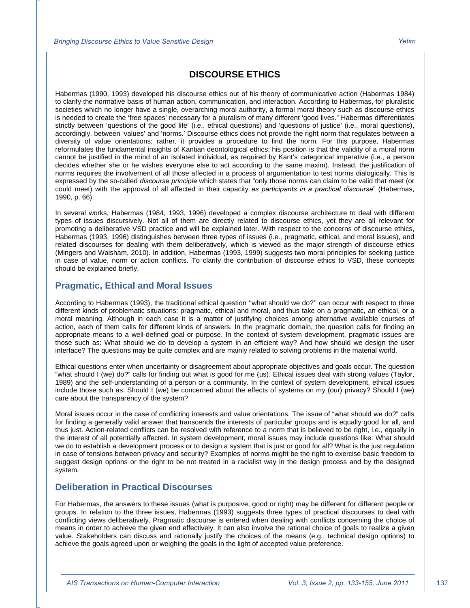### **DISCOURSE ETHICS**

Habermas (1990, 1993) developed his discourse ethics out of his theory of communicative action (Habermas 1984) to clarify the normative basis of human action, communication, and interaction. According to Habermas, for pluralistic societies which no longer have a single, overarching moral authority, a formal moral theory such as discourse ethics is needed to create the 'free spaces' necessary for a pluralism of many different 'good lives." Habermas differentiates strictly between 'questions of the good life' (i.e., ethical questions) and 'questions of justice' (i.e., moral questions), accordingly, between 'values' and 'norms.' Discourse ethics does not provide the right norm that regulates between a diversity of value orientations; rather, it provides a procedure to find the norm. For this purpose, Habermas reformulates the fundamental insights of Kantian deontological ethics; his position is that the validity of a moral norm cannot be justified in the mind of an isolated individual, as required by Kant's categorical imperative (i.e., a person decides whether she or he wishes everyone else to act according to the same maxim). Instead, the justification of norms requires the involvement of all those affected in a process of argumentation to test norms dialogically. This is expressed by the so-called *discourse principle* which states that "only those norms can claim to be valid that meet (or could meet) with the approval of all affected in their capacity *as participants in a practical discourse*" (Habermas, 1990, p. 66).

In several works, Habermas (1984, 1993, 1996) developed a complex discourse architecture to deal with different types of issues discursively. Not all of them are directly related to discourse ethics, yet they are all relevant for promoting a deliberative VSD practice and will be explained later. With respect to the concerns of discourse ethics, Habermas (1993, 1996) distinguishes between three types of issues (i.e., pragmatic, ethical, and moral issues), and related discourses for dealing with them deliberatively, which is viewed as the major strength of discourse ethics (Mingers and Walsham, 2010). In addition, Habermas (1993, 1999) suggests two moral principles for seeking justice in case of value, norm or action conflicts. To clarify the contribution of discourse ethics to VSD, these concepts should be explained briefly.

#### **Pragmatic, Ethical and Moral Issues**

According to Habermas (1993), the traditional ethical question ''what should we do?'' can occur with respect to three different kinds of problematic situations: pragmatic, ethical and moral, and thus take on a pragmatic, an ethical, or a moral meaning. Although in each case it is a matter of justifying choices among alternative available courses of action, each of them calls for different kinds of answers. In the pragmatic domain, the question calls for finding an appropriate means to a well-defined goal or purpose. In the context of system development, pragmatic issues are those such as: What should we do to develop a system in an efficient way? And how should we design the user interface? The questions may be quite complex and are mainly related to solving problems in the material world.

Ethical questions enter when uncertainty or disagreement about appropriate objectives and goals occur. The question "what should I (we) do?" calls for finding out what is good for me (us). Ethical issues deal with strong values (Taylor, 1989) and the self-understanding of a person or a community. In the context of system development, ethical issues include those such as: Should I (we) be concerned about the effects of systems on my (our) privacy? Should I (we) care about the transparency of the system?

Moral issues occur in the case of conflicting interests and value orientations. The issue of "what should we do?" calls for finding a generally valid answer that transcends the interests of particular groups and is equally good for all, and thus just. Action-related conflicts can be resolved with reference to a norm that is believed to be right, i.e., equally in the interest of all potentially affected. In system development, moral issues may include questions like: What should we do to establish a development process or to design a system that is just or good for all? What is the just regulation in case of tensions between privacy and security? Examples of norms might be the right to exercise basic freedom to suggest design options or the right to be not treated in a racialist way in the design process and by the designed system.

#### **Deliberation in Practical Discourses**

For Habermas, the answers to these issues (what is purposive, good or right) may be different for different people or groups. In relation to the three issues, Habermas (1993) suggests three types of practical discourses to deal with conflicting views deliberatively. Pragmatic discourse is entered when dealing with conflicts concerning the choice of means in order to achieve the given end effectively. It can also involve the rational choice of goals to realize a given value. Stakeholders can discuss and rationally justify the choices of the means (e.g., technical design options) to achieve the goals agreed upon or weighing the goals in the light of accepted value preference.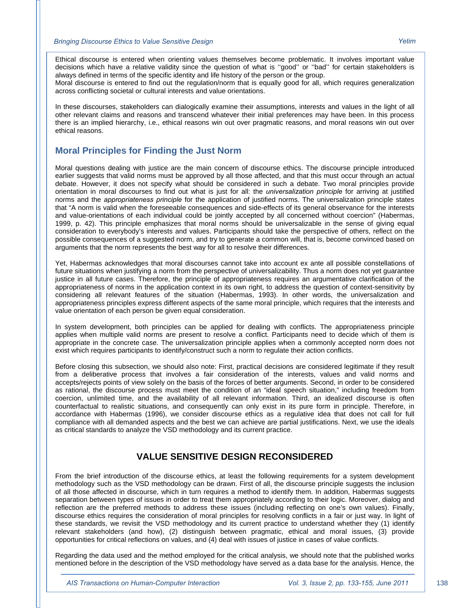Ethical discourse is entered when orienting values themselves become problematic. It involves important value decisions which have a relative validity since the question of what is ''good'' or ''bad'' for certain stakeholders is always defined in terms of the specific identity and life history of the person or the group.

Moral discourse is entered to find out the regulation/norm that is equally good for all, which requires generalization across conflicting societal or cultural interests and value orientations.

In these discourses, stakeholders can dialogically examine their assumptions, interests and values in the light of all other relevant claims and reasons and transcend whatever their initial preferences may have been. In this process there is an implied hierarchy, i.e., ethical reasons win out over pragmatic reasons, and moral reasons win out over ethical reasons.

#### **Moral Principles for Finding the Just Norm**

Moral questions dealing with justice are the main concern of discourse ethics. The discourse principle introduced earlier suggests that valid norms must be approved by all those affected, and that this must occur through an actual debate. However, it does not specify what should be considered in such a debate. Two moral principles provide orientation in moral discourses to find out what is just for all: the *universalization principle* for arriving at justified norms and the *appropriateness principle* for the application of justified norms. The universalization principle states that "A norm is valid when the foreseeable consequences and side-effects of its general observance for the interests and value-orientations of each individual could be jointly accepted by all concerned without coercion" (Habermas, 1999, p. 42). This principle emphasizes that moral norms should be universalizable in the sense of giving equal consideration to everybody's interests and values. Participants should take the perspective of others, reflect on the possible consequences of a suggested norm, and try to generate a common will, that is, become convinced based on arguments that the norm represents the best way for all to resolve their differences.

Yet, Habermas acknowledges that moral discourses cannot take into account ex ante all possible constellations of future situations when justifying a norm from the perspective of universalizability. Thus a norm does not yet guarantee justice in all future cases. Therefore, the principle of appropriateness requires an argumentative clarification of the appropriateness of norms in the application context in its own right, to address the question of context-sensitivity by considering all relevant features of the situation (Habermas, 1993). In other words, the universalization and appropriateness principles express different aspects of the same moral principle, which requires that the interests and value orientation of each person be given equal consideration.

In system development, both principles can be applied for dealing with conflicts. The appropriateness principle applies when multiple valid norms are present to resolve a conflict. Participants need to decide which of them is appropriate in the concrete case. The universalization principle applies when a commonly accepted norm does not exist which requires participants to identify/construct such a norm to regulate their action conflicts.

Before closing this subsection, we should also note: First, practical decisions are considered legitimate if they result from a deliberative process that involves a fair consideration of the interests, values and valid norms and accepts/rejects points of view solely on the basis of the forces of better arguments. Second, in order to be considered as rational, the discourse process must meet the condition of an "ideal speech situation," including freedom from coercion, unlimited time, and the availability of all relevant information. Third, an idealized discourse is often counterfactual to realistic situations, and consequently can only exist in its pure form in principle. Therefore, in accordance with Habermas (1996), we consider discourse ethics as a regulative idea that does not call for full compliance with all demanded aspects and the best we can achieve are partial justifications. Next, we use the ideals as critical standards to analyze the VSD methodology and its current practice.

#### **VALUE SENSITIVE DESIGN RECONSIDERED**

From the brief introduction of the discourse ethics, at least the following requirements for a system development methodology such as the VSD methodology can be drawn. First of all, the discourse principle suggests the inclusion of all those affected in discourse, which in turn requires a method to identify them. In addition, Habermas suggests separation between types of issues in order to treat them appropriately according to their logic. Moreover, dialog and reflection are the preferred methods to address these issues (including reflecting on one's own values). Finally, discourse ethics requires the consideration of moral principles for resolving conflicts in a fair or just way. In light of these standards, we revisit the VSD methodology and its current practice to understand whether they (1) identify relevant stakeholders (and how), (2) distinguish between pragmatic, ethical and moral issues, (3) provide opportunities for critical reflections on values, and (4) deal with issues of justice in cases of value conflicts.

Regarding the data used and the method employed for the critical analysis, we should note that the published works mentioned before in the description of the VSD methodology have served as a data base for the analysis. Hence, the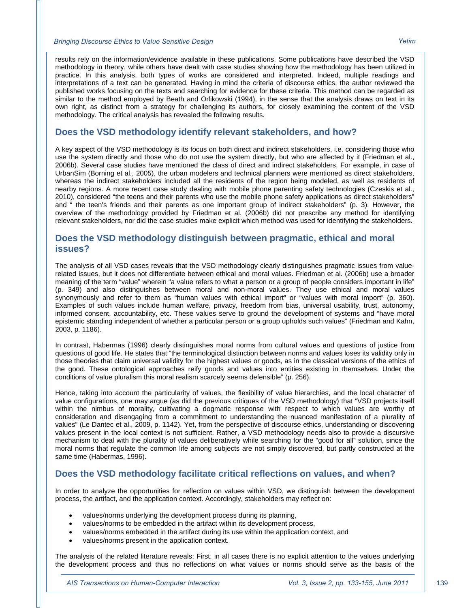results rely on the information/evidence available in these publications. Some publications have described the VSD methodology in theory, while others have dealt with case studies showing how the methodology has been utilized in practice. In this analysis, both types of works are considered and interpreted. Indeed, multiple readings and interpretations of a text can be generated. Having in mind the criteria of discourse ethics, the author reviewed the published works focusing on the texts and searching for evidence for these criteria. This method can be regarded as similar to the method employed by Beath and Orlikowski (1994), in the sense that the analysis draws on text in its own right, as distinct from a strategy for challenging its authors, for closely examining the content of the VSD methodology. The critical analysis has revealed the following results.

#### **Does the VSD methodology identify relevant stakeholders, and how?**

A key aspect of the VSD methodology is its focus on both direct and indirect stakeholders, i.e. considering those who use the system directly and those who do not use the system directly, but who are affected by it (Friedman et al., 2006b). Several case studies have mentioned the class of direct and indirect stakeholders. For example, in case of UrbanSim (Borning et al., 2005), the urban modelers and technical planners were mentioned as direct stakeholders, whereas the indirect stakeholders included all the residents of the region being modeled, as well as residents of nearby regions. A more recent case study dealing with mobile phone parenting safety technologies (Czeskis et al., 2010), considered "the teens and their parents who use the mobile phone safety applications as direct stakeholders" and " the teen's friends and their parents as one important group of indirect stakeholders" (p. 3). However, the overview of the methodology provided by Friedman et al. (2006b) did not prescribe any method for identifying relevant stakeholders, nor did the case studies make explicit which method was used for identifying the stakeholders.

#### **Does the VSD methodology distinguish between pragmatic, ethical and moral issues?**

The analysis of all VSD cases reveals that the VSD methodology clearly distinguishes pragmatic issues from valuerelated issues, but it does not differentiate between ethical and moral values. Friedman et al. (2006b) use a broader meaning of the term "value" wherein "a value refers to what a person or a group of people considers important in life" (p. 349) and also distinguishes between moral and non-moral values. They use ethical and moral values synonymously and refer to them as "human values with ethical import" or "values with moral import" (p. 360). Examples of such values include human welfare, privacy, freedom from bias, universal usability, trust, autonomy, informed consent, accountability, etc. These values serve to ground the development of systems and "have moral epistemic standing independent of whether a particular person or a group upholds such values" (Friedman and Kahn, 2003, p. 1186).

In contrast, Habermas (1996) clearly distinguishes moral norms from cultural values and questions of justice from questions of good life. He states that "the terminological distinction between norms and values loses its validity only in those theories that claim universal validity for the highest values or goods, as in the classical versions of the ethics of the good. These ontological approaches reify goods and values into entities existing in themselves. Under the conditions of value pluralism this moral realism scarcely seems defensible" (p. 256).

Hence, taking into account the particularity of values, the flexibility of value hierarchies, and the local character of value configurations, one may argue (as did the previous critiques of the VSD methodology) that "VSD projects itself within the nimbus of morality, cultivating a dogmatic response with respect to which values are worthy of consideration and disengaging from a commitment to understanding the nuanced manifestation of a plurality of values" (Le Dantec et al., 2009, p. 1142). Yet, from the perspective of discourse ethics, understanding or discovering values present in the local context is not sufficient. Rather, a VSD methodology needs also to provide a discursive mechanism to deal with the plurality of values deliberatively while searching for the "good for all" solution, since the moral norms that regulate the common life among subjects are not simply discovered, but partly constructed at the same time (Habermas, 1996).

#### **Does the VSD methodology facilitate critical reflections on values, and when?**

In order to analyze the opportunities for reflection on values within VSD, we distinguish between the development process, the artifact, and the application context. Accordingly, stakeholders may reflect on:

- values/norms underlying the development process during its planning,
- values/norms to be embedded in the artifact within its development process,
- values/norms embedded in the artifact during its use within the application context, and
- values/norms present in the application context.

The analysis of the related literature reveals: First, in all cases there is no explicit attention to the values underlying the development process and thus no reflections on what values or norms should serve as the basis of the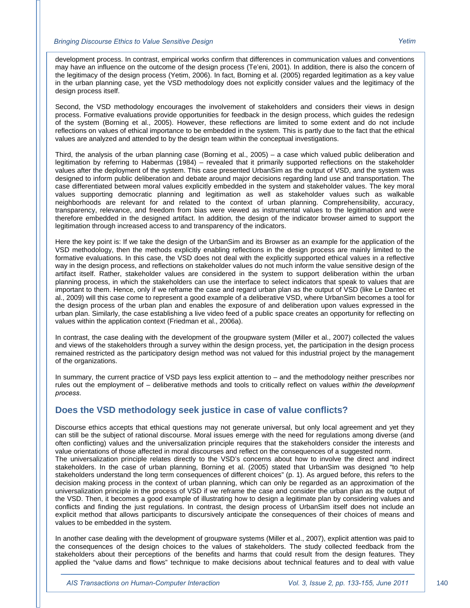development process. In contrast, empirical works confirm that differences in communication values and conventions may have an influence on the outcome of the design process (Te'eni, 2001). In addition, there is also the concern of the legitimacy of the design process (Yetim, 2006). In fact, Borning et al. (2005) regarded legitimation as a key value in the urban planning case, yet the VSD methodology does not explicitly consider values and the legitimacy of the design process itself.

Second, the VSD methodology encourages the involvement of stakeholders and considers their views in design process. Formative evaluations provide opportunities for feedback in the design process, which guides the redesign of the system (Borning et al., 2005). However, these reflections are limited to some extent and do not include reflections on values of ethical importance to be embedded in the system. This is partly due to the fact that the ethical values are analyzed and attended to by the design team within the conceptual investigations.

Third, the analysis of the urban planning case (Borning et al., 2005) – a case which valued public deliberation and legitimation by referring to Habermas (1984) – revealed that it primarily supported reflections on the stakeholder values after the deployment of the system. This case presented UrbanSim as the output of VSD, and the system was designed to inform public deliberation and debate around major decisions regarding land use and transportation. The case differentiated between moral values explicitly embedded in the system and stakeholder values. The key moral values supporting democratic planning and legitimation as well as stakeholder values such as walkable neighborhoods are relevant for and related to the context of urban planning. Comprehensibility, accuracy, transparency, relevance, and freedom from bias were viewed as instrumental values to the legitimation and were therefore embedded in the designed artifact. In addition, the design of the indicator browser aimed to support the legitimation through increased access to and transparency of the indicators.

Here the key point is: If we take the design of the UrbanSim and its Browser as an example for the application of the VSD methodology, then the methods explicitly enabling reflections in the design process are mainly limited to the formative evaluations. In this case, the VSD does not deal with the explicitly supported ethical values in a reflective way in the design process, and reflections on stakeholder values do not much inform the value sensitive design of the artifact itself. Rather, stakeholder values are considered in the system to support deliberation within the urban planning process, in which the stakeholders can use the interface to select indicators that speak to values that are important to them. Hence, only if we reframe the case and regard urban plan as the output of VSD (like Le Dantec et al., 2009) will this case come to represent a good example of a deliberative VSD, where UrbanSim becomes a tool for the design process of the urban plan and enables the exposure of and deliberation upon values expressed in the urban plan. Similarly, the case establishing a live video feed of a public space creates an opportunity for reflecting on values within the application context (Friedman et al., 2006a).

In contrast, the case dealing with the development of the groupware system (Miller et al., 2007) collected the values and views of the stakeholders through a survey within the design process, yet, the participation in the design process remained restricted as the participatory design method was not valued for this industrial project by the management of the organizations.

In summary, the current practice of VSD pays less explicit attention to – and the methodology neither prescribes nor rules out the employment of – deliberative methods and tools to critically reflect on values *within the development process*.

#### **Does the VSD methodology seek justice in case of value conflicts?**

Discourse ethics accepts that ethical questions may not generate universal, but only local agreement and yet they can still be the subject of rational discourse. Moral issues emerge with the need for regulations among diverse (and often conflicting) values and the universalization principle requires that the stakeholders consider the interests and value orientations of those affected in moral discourses and reflect on the consequences of a suggested norm. The universalization principle relates directly to the VSD's concerns about how to involve the direct and indirect stakeholders. In the case of urban planning, Borning et al. (2005) stated that UrbanSim was designed "to help stakeholders understand the long term consequences of different choices" (p. 1). As argued before, this refers to the decision making process in the context of urban planning, which can only be regarded as an approximation of the universalization principle in the process of VSD if we reframe the case and consider the urban plan as the output of the VSD. Then, it becomes a good example of illustrating how to design a legitimate plan by considering values and conflicts and finding the just regulations. In contrast, the design process of UrbanSim itself does not include an explicit method that allows participants to discursively anticipate the consequences of their choices of means and values to be embedded in the system.

In another case dealing with the development of groupware systems (Miller et al., 2007), explicit attention was paid to the consequences of the design choices to the values of stakeholders. The study collected feedback from the stakeholders about their perceptions of the benefits and harms that could result from the design features. They applied the "value dams and flows" technique to make decisions about technical features and to deal with value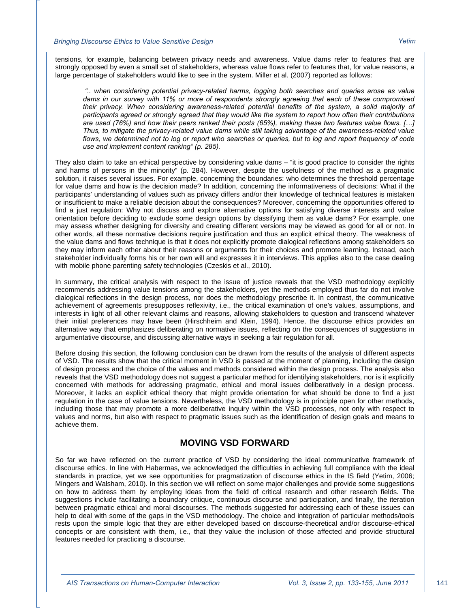tensions, for example, balancing between privacy needs and awareness. Value dams refer to features that are strongly opposed by even a small set of stakeholders, whereas value flows refer to features that, for value reasons, a large percentage of stakeholders would like to see in the system. Miller et al. (2007) reported as follows:

 *".. when considering potential privacy-related harms, logging both searches and queries arose as value dams in our survey with 11% or more of respondents strongly agreeing that each of these compromised their privacy. When considering awareness-related potential benefits of the system, a solid majority of participants agreed or strongly agreed that they would like the system to report how often their contributions are used (76%) and how their peers ranked their posts (65%), making these two features value flows. […] Thus, to mitigate the privacy-related value dams while still taking advantage of the awareness-related value flows, we determined not to log or report who searches or queries, but to log and report frequency of code use and implement content ranking" (p. 285).* 

They also claim to take an ethical perspective by considering value dams – "it is good practice to consider the rights and harms of persons in the minority" (p. 284). However, despite the usefulness of the method as a pragmatic solution, it raises several issues. For example, concerning the boundaries: who determines the threshold percentage for value dams and how is the decision made? In addition, concerning the informativeness of decisions: What if the participants' understanding of values such as privacy differs and/or their knowledge of technical features is mistaken or insufficient to make a reliable decision about the consequences? Moreover, concerning the opportunities offered to find a just regulation: Why not discuss and explore alternative options for satisfying diverse interests and value orientation before deciding to exclude some design options by classifying them as value dams? For example, one may assess whether designing for diversity and creating different versions may be viewed as good for all or not. In other words, all these normative decisions require justification and thus an explicit ethical theory. The weakness of the value dams and flows technique is that it does not explicitly promote dialogical reflections among stakeholders so they may inform each other about their reasons or arguments for their choices and promote learning. Instead, each stakeholder individually forms his or her own will and expresses it in interviews. This applies also to the case dealing with mobile phone parenting safety technologies (Czeskis et al., 2010).

In summary, the critical analysis with respect to the issue of justice reveals that the VSD methodology explicitly recommends addressing value tensions among the stakeholders, yet the methods employed thus far do not involve dialogical reflections in the design process, nor does the methodology prescribe it. In contrast, the communicative achievement of agreements presupposes reflexivity, i.e., the critical examination of one's values, assumptions, and interests in light of all other relevant claims and reasons, allowing stakeholders to question and transcend whatever their initial preferences may have been (Hirschheim and Klein, 1994). Hence, the discourse ethics provides an alternative way that emphasizes deliberating on normative issues, reflecting on the consequences of suggestions in argumentative discourse, and discussing alternative ways in seeking a fair regulation for all.

Before closing this section, the following conclusion can be drawn from the results of the analysis of different aspects of VSD. The results show that the critical moment in VSD is passed at the moment of planning, including the design of design process and the choice of the values and methods considered within the design process. The analysis also reveals that the VSD methodology does not suggest a particular method for identifying stakeholders, nor is it explicitly concerned with methods for addressing pragmatic, ethical and moral issues deliberatively in a design process. Moreover, it lacks an explicit ethical theory that might provide orientation for what should be done to find a just regulation in the case of value tensions. Nevertheless, the VSD methodology is in principle open for other methods, including those that may promote a more deliberative inquiry within the VSD processes, not only with respect to values and norms, but also with respect to pragmatic issues such as the identification of design goals and means to achieve them.

#### **MOVING VSD FORWARD**

So far we have reflected on the current practice of VSD by considering the ideal communicative framework of discourse ethics. In line with Habermas, we acknowledged the difficulties in achieving full compliance with the ideal standards in practice, yet we see opportunities for pragmatization of discourse ethics in the IS field (Yetim, 2006; Mingers and Walsham, 2010). In this section we will reflect on some major challenges and provide some suggestions on how to address them by employing ideas from the field of critical research and other research fields. The suggestions include facilitating a boundary critique, continuous discourse and participation, and finally, the iteration between pragmatic ethical and moral discourses. The methods suggested for addressing each of these issues can help to deal with some of the gaps in the VSD methodology. The choice and integration of particular methods/tools rests upon the simple logic that they are either developed based on discourse-theoretical and/or discourse-ethical concepts or are consistent with them, i.e., that they value the inclusion of those affected and provide structural features needed for practicing a discourse.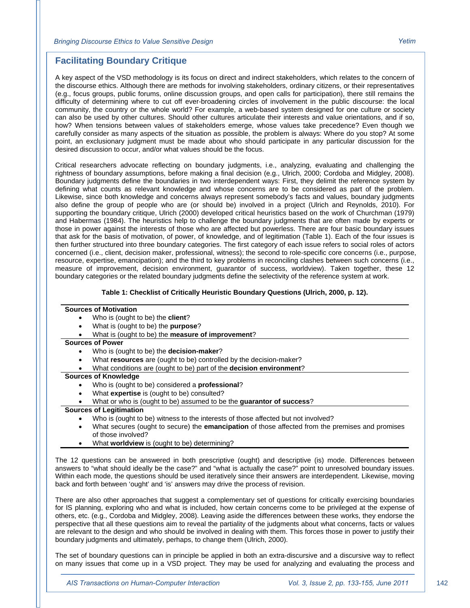#### **Facilitating Boundary Critique**

A key aspect of the VSD methodology is its focus on direct and indirect stakeholders, which relates to the concern of the discourse ethics. Although there are methods for involving stakeholders, ordinary citizens, or their representatives (e.g., focus groups, public forums, online discussion groups, and open calls for participation), there still remains the difficulty of determining where to cut off ever-broadening circles of involvement in the public discourse: the local community, the country or the whole world? For example, a web-based system designed for one culture or society can also be used by other cultures. Should other cultures articulate their interests and value orientations, and if so, how? When tensions between values of stakeholders emerge, whose values take precedence? Even though we carefully consider as many aspects of the situation as possible, the problem is always: Where do you stop? At some point, an exclusionary judgment must be made about who should participate in any particular discussion for the desired discussion to occur, and/or what values should be the focus.

Critical researchers advocate reflecting on boundary judgments, i.e., analyzing, evaluating and challenging the rightness of boundary assumptions, before making a final decision (e.g., Ulrich, 2000; Cordoba and Midgley, 2008). Boundary judgments define the boundaries in two interdependent ways: First, they delimit the reference system by defining what counts as relevant knowledge and whose concerns are to be considered as part of the problem. Likewise, since both knowledge and concerns always represent somebody's facts and values, boundary judgments also define the group of people who are (or should be) involved in a project (Ulrich and Reynolds, 2010). For supporting the boundary critique, Ulrich (2000) developed critical heuristics based on the work of Churchman (1979) and Habermas (1984). The heuristics help to challenge the boundary judgments that are often made by experts or those in power against the interests of those who are affected but powerless. There are four basic boundary issues that ask for the basis of motivation, of power, of knowledge, and of legitimation (Table 1). Each of the four issues is then further structured into three boundary categories. The first category of each issue refers to social roles of actors concerned (i.e., client, decision maker, professional, witness); the second to role-specific core concerns (i.e., purpose, resource, expertise, emancipation); and the third to key problems in reconciling clashes between such concerns (i.e., measure of improvement, decision environment, guarantor of success, worldview). Taken together, these 12 boundary categories or the related boundary judgments define the selectivity of the reference system at work.

#### **Table 1: Checklist of Critically Heuristic Boundary Questions (Ulrich, 2000, p. 12).**

#### **Sources of Motivation**

- Who is (ought to be) the **client**?
- What is (ought to be) the **purpose**?
- What is (ought to be) the **measure of improvement**?

#### **Sources of Power**

- Who is (ought to be) the **decision-maker**?
- What **resources** are (ought to be) controlled by the decision-maker?
- What conditions are (ought to be) part of the **decision environment**?

#### **Sources of Knowledge**

- Who is (ought to be) considered a **professional**?
- What **expertise** is (ought to be) consulted?
- What or who is (ought to be) assumed to be the **guarantor of success**?

#### **Sources of Legitimation**

- Who is (ought to be) witness to the interests of those affected but not involved?
- What secures (ought to secure) the **emancipation** of those affected from the premises and promises of those involved?
- What **worldview** is (ought to be) determining?

The 12 questions can be answered in both prescriptive (ought) and descriptive (is) mode. Differences between answers to "what should ideally be the case?" and "what is actually the case?" point to unresolved boundary issues. Within each mode, the questions should be used iteratively since their answers are interdependent. Likewise, moving back and forth between 'ought' and 'is' answers may drive the process of revision.

There are also other approaches that suggest a complementary set of questions for critically exercising boundaries for IS planning, exploring who and what is included, how certain concerns come to be privileged at the expense of others, etc. (e.g., Cordoba and Midgley, 2008). Leaving aside the differences between these works, they endorse the perspective that all these questions aim to reveal the partiality of the judgments about what concerns, facts or values are relevant to the design and who should be involved in dealing with them. This forces those in power to justify their boundary judgments and ultimately, perhaps, to change them (Ulrich, 2000).

The set of boundary questions can in principle be applied in both an extra-discursive and a discursive way to reflect on many issues that come up in a VSD project. They may be used for analyzing and evaluating the process and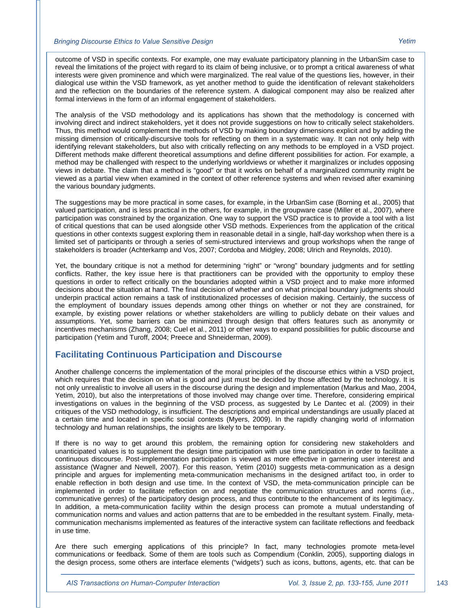outcome of VSD in specific contexts. For example, one may evaluate participatory planning in the UrbanSim case to reveal the limitations of the project with regard to its claim of being inclusive, or to prompt a critical awareness of what interests were given prominence and which were marginalized. The real value of the questions lies, however, in their dialogical use within the VSD framework, as yet another method to guide the identification of relevant stakeholders and the reflection on the boundaries of the reference system. A dialogical component may also be realized after formal interviews in the form of an informal engagement of stakeholders.

The analysis of the VSD methodology and its applications has shown that the methodology is concerned with involving direct and indirect stakeholders, yet it does not provide suggestions on how to critically select stakeholders. Thus, this method would complement the methods of VSD by making boundary dimensions explicit and by adding the missing dimension of critically-discursive tools for reflecting on them in a systematic way. It can not only help with identifying relevant stakeholders, but also with critically reflecting on any methods to be employed in a VSD project. Different methods make different theoretical assumptions and define different possibilities for action. For example, a method may be challenged with respect to the underlying worldviews or whether it marginalizes or includes opposing views in debate. The claim that a method is "good" or that it works on behalf of a marginalized community might be viewed as a partial view when examined in the context of other reference systems and when revised after examining the various boundary judgments.

The suggestions may be more practical in some cases, for example, in the UrbanSim case (Borning et al., 2005) that valued participation, and is less practical in the others, for example, in the groupware case (Miller et al., 2007), where participation was constrained by the organization. One way to support the VSD practice is to provide a tool with a list of critical questions that can be used alongside other VSD methods. Experiences from the application of the critical questions in other contexts suggest exploring them in reasonable detail in a single, half-day workshop when there is a limited set of participants or through a series of semi-structured interviews and group workshops when the range of stakeholders is broader (Achterkamp and Vos, 2007; Cordoba and Midgley, 2008; Ulrich and Reynolds, 2010).

Yet, the boundary critique is not a method for determining "right" or "wrong" boundary judgments and for settling conflicts. Rather, the key issue here is that practitioners can be provided with the opportunity to employ these questions in order to reflect critically on the boundaries adopted within a VSD project and to make more informed decisions about the situation at hand. The final decision of whether and on what principal boundary judgments should underpin practical action remains a task of institutionalized processes of decision making. Certainly, the success of the employment of boundary issues depends among other things on whether or not they are constrained, for example, by existing power relations or whether stakeholders are willing to publicly debate on their values and assumptions. Yet, some barriers can be minimized through design that offers features such as anonymity or incentives mechanisms (Zhang, 2008; Cuel et al., 2011) or other ways to expand possibilities for public discourse and participation (Yetim and Turoff, 2004; Preece and Shneiderman, 2009).

#### **Facilitating Continuous Participation and Discourse**

Another challenge concerns the implementation of the moral principles of the discourse ethics within a VSD project, which requires that the decision on what is good and just must be decided by those affected by the technology. It is not only unrealistic to involve all users in the discourse during the design and implementation (Markus and Mao, 2004, Yetim, 2010), but also the interpretations of those involved may change over time. Therefore, considering empirical investigations on values in the beginning of the VSD process, as suggested by Le Dantec et al. (2009) in their critiques of the VSD methodology, is insufficient. The descriptions and empirical understandings are usually placed at a certain time and located in specific social contexts (Myers, 2009). In the rapidly changing world of information technology and human relationships, the insights are likely to be temporary.

If there is no way to get around this problem, the remaining option for considering new stakeholders and unanticipated values is to supplement the design time participation with use time participation in order to facilitate a continuous discourse. Post-implementation participation is viewed as more effective in garnering user interest and assistance (Wagner and Newell, 2007). For this reason, Yetim (2010) suggests meta-communication as a design principle and argues for implementing meta-communication mechanisms in the designed artifact too, in order to enable reflection in both design and use time. In the context of VSD, the meta-communication principle can be implemented in order to facilitate reflection on and negotiate the communication structures and norms (i.e., communicative genres) of the participatory design process, and thus contribute to the enhancement of its legitimacy. In addition, a meta-communication facility within the design process can promote a mutual understanding of communication norms and values and action patterns that are to be embedded in the resultant system. Finally, metacommunication mechanisms implemented as features of the interactive system can facilitate reflections and feedback in use time.

Are there such emerging applications of this principle? In fact, many technologies promote meta-level communications or feedback. Some of them are tools such as Compendium (Conklin, 2005), supporting dialogs in the design process, some others are interface elements ("widgets') such as icons, buttons, agents, etc. that can be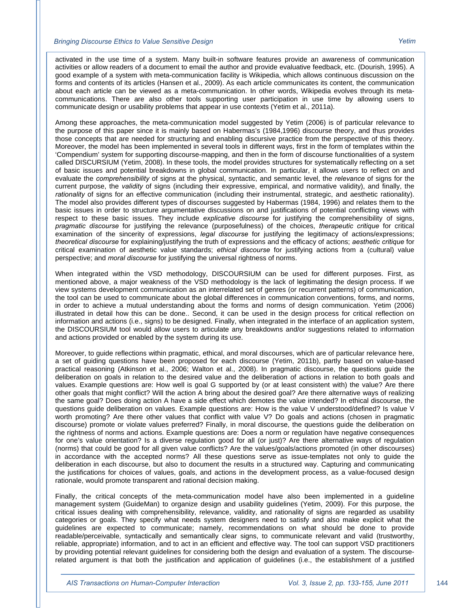activated in the use time of a system. Many built-in software features provide an awareness of communication activities or allow readers of a document to email the author and provide evaluative feedback, etc. (Dourish, 1995). A good example of a system with meta-communication facility is Wikipedia, which allows continuous discussion on the forms and contents of its articles (Hansen et al., 2009). As each article communicates its content, the communication about each article can be viewed as a meta-communication. In other words, Wikipedia evolves through its metacommunications. There are also other tools supporting user participation in use time by allowing users to communicate design or usability problems that appear in use contexts (Yetim et al., 2011a).

Among these approaches, the meta-communication model suggested by Yetim (2006) is of particular relevance to the purpose of this paper since it is mainly based on Habermas's (1984,1996) discourse theory, and thus provides those concepts that are needed for structuring and enabling discursive practice from the perspective of this theory. Moreover, the model has been implemented in several tools in different ways, first in the form of templates within the 'Compendium' system for supporting discourse-mapping, and then in the form of discourse functionalities of a system called DISCURSIUM (Yetim, 2008). In these tools, the model provides structures for systematically reflecting on a set of basic issues and potential breakdowns in global communication. In particular, it allows users to reflect on and evaluate the *comprehensibility* of signs at the physical, syntactic, and semantic level, the *relevance* of signs for the current purpose, the *validity* of signs (including their expressive, empirical, and normative validity), and finally, the *rationality* of signs for an effective communication (including their instrumental, strategic, and aesthetic rationality). The model also provides different types of discourses suggested by Habermas (1984, 1996) and relates them to the basic issues in order to structure argumentative discussions on and justifications of potential conflicting views with respect to these basic issues. They include *explicative discourse* for justifying the comprehensibility of signs, *pragmatic discourse* for justifying the relevance (purposefulness) of the choices, *therapeutic critique* for critical examination of the sincerity of expressions, *legal discourse* for justifying the legitimacy of actions/expressions; *theoretical discourse* for explaining/justifying the truth of expressions and the efficacy of actions; *aesthetic critique* for critical examination of aesthetic value standards; *ethical discourse* for justifying actions from a (cultural) value perspective; and *moral discourse* for justifying the universal rightness of norms.

When integrated within the VSD methodology, DISCOURSIUM can be used for different purposes. First, as mentioned above, a major weakness of the VSD methodology is the lack of legitimating the design process. If we view systems development communication as an interrelated set of genres (or recurrent patterns) of communication, the tool can be used to communicate about the global differences in communication conventions, forms, and norms, in order to achieve a mutual understanding about the forms and norms of design communication. Yetim (2006) illustrated in detail how this can be done.. Second, it can be used in the design process for critical reflection on information and actions (i.e., signs) to be designed. Finally, when integrated in the interface of an application system, the DISCOURSIUM tool would allow users to articulate any breakdowns and/or suggestions related to information and actions provided or enabled by the system during its use.

Moreover, to guide reflections within pragmatic, ethical, and moral discourses, which are of particular relevance here, a set of guiding questions have been proposed for each discourse (Yetim, 2011b), partly based on value-based practical reasoning (Atkinson et al., 2006; Walton et al., 2008). In pragmatic discourse, the questions guide the deliberation on goals in relation to the desired value and the deliberation of actions in relation to both goals and values. Example questions are: How well is goal G supported by (or at least consistent with) the value? Are there other goals that might conflict? Will the action A bring about the desired goal? Are there alternative ways of realizing the same goal? Does doing action A have a side effect which demotes the value intended? In ethical discourse, the questions guide deliberation on values. Example questions are: How is the value V understood/defined? Is value V worth promoting? Are there other values that conflict with value V? Do goals and actions (chosen in pragmatic discourse) promote or violate values preferred? Finally, in moral discourse, the questions guide the deliberation on the rightness of norms and actions. Example questions are: Does a norm or regulation have negative consequences for one's value orientation? Is a diverse regulation good for all (or just)? Are there alternative ways of regulation (norms) that could be good for all given value conflicts? Are the values/goals/actions promoted (in other discourses) in accordance with the accepted norms? All these questions serve as issue-templates not only to guide the deliberation in each discourse, but also to document the results in a structured way. Capturing and communicating the justifications for choices of values, goals, and actions in the development process, as a value-focused design rationale, would promote transparent and rational decision making.

Finally, the critical concepts of the meta-communication model have also been implemented in a guideline management system (GuideMan) to organize design and usability guidelines (Yetim, 2009). For this purpose, the critical issues dealing with comprehensibility, relevance, validity, and rationality of signs are regarded as usability categories or goals. They specify what needs system designers need to satisfy and also make explicit what the guidelines are expected to communicate; namely, recommendations on what should be done to provide readable/perceivable, syntactically and semantically clear signs, to communicate relevant and valid (trustworthy, reliable, appropriate) information, and to act in an efficient and effective way. The tool can support VSD practitioners by providing potential relevant guidelines for considering both the design and evaluation of a system. The discourserelated argument is that both the justification and application of guidelines (i.e., the establishment of a justified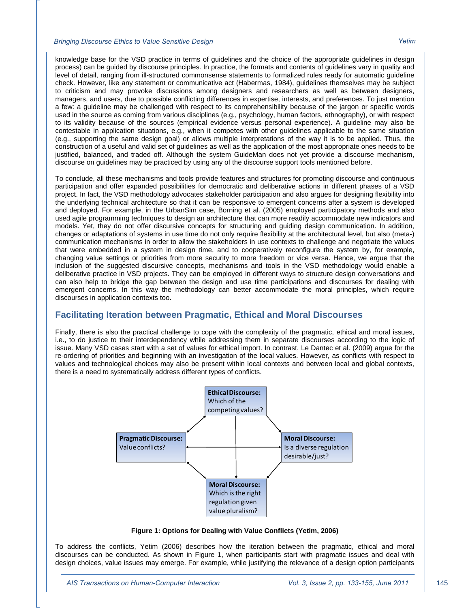knowledge base for the VSD practice in terms of guidelines and the choice of the appropriate guidelines in design process) can be guided by discourse principles. In practice, the formats and contents of guidelines vary in quality and level of detail, ranging from ill-structured commonsense statements to formalized rules ready for automatic guideline check. However, like any statement or communicative act (Habermas, 1984), guidelines themselves may be subject to criticism and may provoke discussions among designers and researchers as well as between designers, managers, and users, due to possible conflicting differences in expertise, interests, and preferences. To just mention a few: a guideline may be challenged with respect to its comprehensibility because of the jargon or specific words used in the source as coming from various disciplines (e.g., psychology, human factors, ethnography), or with respect to its validity because of the sources (empirical evidence versus personal experience). A guideline may also be contestable in application situations, e.g., when it competes with other guidelines applicable to the same situation (e.g., supporting the same design goal) or allows multiple interpretations of the way it is to be applied. Thus, the construction of a useful and valid set of guidelines as well as the application of the most appropriate ones needs to be justified, balanced, and traded off. Although the system GuideMan does not yet provide a discourse mechanism, discourse on guidelines may be practiced by using any of the discourse support tools mentioned before.

To conclude, all these mechanisms and tools provide features and structures for promoting discourse and continuous participation and offer expanded possibilities for democratic and deliberative actions in different phases of a VSD project. In fact, the VSD methodology advocates stakeholder participation and also argues for designing flexibility into the underlying technical architecture so that it can be responsive to emergent concerns after a system is developed and deployed. For example, in the UrbanSim case, Borning et al. (2005) employed participatory methods and also used agile programming techniques to design an architecture that can more readily accommodate new indicators and models. Yet, they do not offer discursive concepts for structuring and guiding design communication. In addition, changes or adaptations of systems in use time do not only require flexibility at the architectural level, but also (meta-) communication mechanisms in order to allow the stakeholders in use contexts to challenge and negotiate the values that were embedded in a system in design time, and to cooperatively reconfigure the system by, for example, changing value settings or priorities from more security to more freedom or vice versa. Hence, we argue that the inclusion of the suggested discursive concepts, mechanisms and tools in the VSD methodology would enable a deliberative practice in VSD projects. They can be employed in different ways to structure design conversations and can also help to bridge the gap between the design and use time participations and discourses for dealing with emergent concerns. In this way the methodology can better accommodate the moral principles, which require discourses in application contexts too.

#### **Facilitating Iteration between Pragmatic, Ethical and Moral Discourses**

Finally, there is also the practical challenge to cope with the complexity of the pragmatic, ethical and moral issues, i.e., to do justice to their interdependency while addressing them in separate discourses according to the logic of issue. Many VSD cases start with a set of values for ethical import. In contrast, Le Dantec et al. (2009) argue for the re-ordering of priorities and beginning with an investigation of the local values. However, as conflicts with respect to values and technological choices may also be present within local contexts and between local and global contexts, there is a need to systematically address different types of conflicts.



**Figure 1: Options for Dealing with Value Conflicts (Yetim, 2006)** 

To address the conflicts, Yetim (2006) describes how the iteration between the pragmatic, ethical and moral discourses can be conducted. As shown in Figure 1, when participants start with pragmatic issues and deal with design choices, value issues may emerge. For example, while justifying the relevance of a design option participants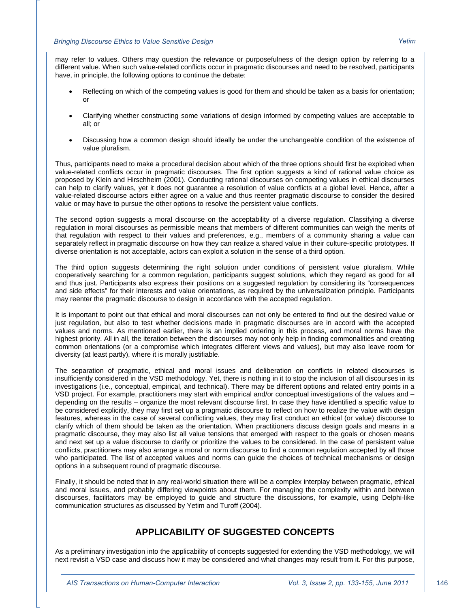may refer to values. Others may question the relevance or purposefulness of the design option by referring to a different value. When such value-related conflicts occur in pragmatic discourses and need to be resolved, participants have, in principle, the following options to continue the debate:

- Reflecting on which of the competing values is good for them and should be taken as a basis for orientation; or
- Clarifying whether constructing some variations of design informed by competing values are acceptable to all; or
- Discussing how a common design should ideally be under the unchangeable condition of the existence of value pluralism.

Thus, participants need to make a procedural decision about which of the three options should first be exploited when value-related conflicts occur in pragmatic discourses. The first option suggests a kind of rational value choice as proposed by Klein and Hirschheim (2001). Conducting rational discourses on competing values in ethical discourses can help to clarify values, yet it does not guarantee a resolution of value conflicts at a global level. Hence, after a value-related discourse actors either agree on a value and thus reenter pragmatic discourse to consider the desired value or may have to pursue the other options to resolve the persistent value conflicts.

The second option suggests a moral discourse on the acceptability of a diverse regulation. Classifying a diverse regulation in moral discourses as permissible means that members of different communities can weigh the merits of that regulation with respect to their values and preferences, e.g., members of a community sharing a value can separately reflect in pragmatic discourse on how they can realize a shared value in their culture-specific prototypes. If diverse orientation is not acceptable, actors can exploit a solution in the sense of a third option.

The third option suggests determining the right solution under conditions of persistent value pluralism. While cooperatively searching for a common regulation, participants suggest solutions, which they regard as good for all and thus just. Participants also express their positions on a suggested regulation by considering its "consequences and side effects" for their interests and value orientations, as required by the universalization principle. Participants may reenter the pragmatic discourse to design in accordance with the accepted regulation.

It is important to point out that ethical and moral discourses can not only be entered to find out the desired value or just regulation, but also to test whether decisions made in pragmatic discourses are in accord with the accepted values and norms. As mentioned earlier, there is an implied ordering in this process, and moral norms have the highest priority. All in all, the iteration between the discourses may not only help in finding commonalities and creating common orientations (or a compromise which integrates different views and values), but may also leave room for diversity (at least partly), where it is morally justifiable.

The separation of pragmatic, ethical and moral issues and deliberation on conflicts in related discourses is insufficiently considered in the VSD methodology. Yet, there is nothing in it to stop the inclusion of all discourses in its investigations (i.e., conceptual, empirical, and technical). There may be different options and related entry points in a VSD project. For example, practitioners may start with empirical and/or conceptual investigations of the values and – depending on the results – organize the most relevant discourse first. In case they have identified a specific value to be considered explicitly, they may first set up a pragmatic discourse to reflect on how to realize the value with design features, whereas in the case of several conflicting values, they may first conduct an ethical (or value) discourse to clarify which of them should be taken as the orientation. When practitioners discuss design goals and means in a pragmatic discourse, they may also list all value tensions that emerged with respect to the goals or chosen means and next set up a value discourse to clarify or prioritize the values to be considered. In the case of persistent value conflicts, practitioners may also arrange a moral or norm discourse to find a common regulation accepted by all those who participated. The list of accepted values and norms can guide the choices of technical mechanisms or design options in a subsequent round of pragmatic discourse.

Finally, it should be noted that in any real-world situation there will be a complex interplay between pragmatic, ethical and moral issues, and probably differing viewpoints about them. For managing the complexity within and between discourses, facilitators may be employed to guide and structure the discussions, for example, using Delphi-like communication structures as discussed by Yetim and Turoff (2004).

### **APPLICABILITY OF SUGGESTED CONCEPTS**

As a preliminary investigation into the applicability of concepts suggested for extending the VSD methodology, we will next revisit a VSD case and discuss how it may be considered and what changes may result from it. For this purpose,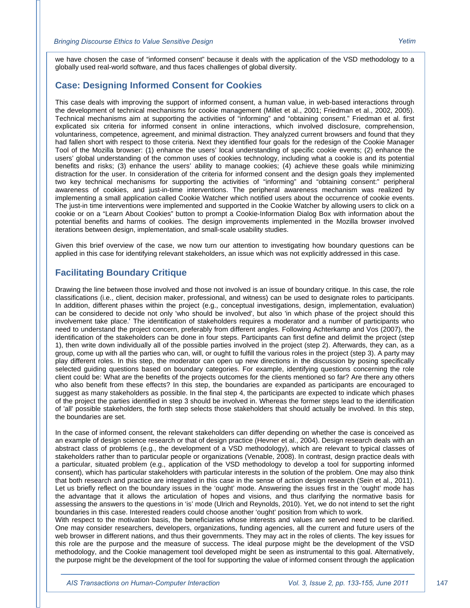we have chosen the case of "informed consent" because it deals with the application of the VSD methodology to a globally used real-world software, and thus faces challenges of global diversity.

#### **Case: Designing Informed Consent for Cookies**

This case deals with improving the support of informed consent, a human value, in web-based interactions through the development of technical mechanisms for cookie management (Millet et al., 2001; Friedman et al., 2002, 2005). Technical mechanisms aim at supporting the activities of "informing" and "obtaining consent." Friedman et al. first explicated six criteria for informed consent in online interactions, which involved disclosure, comprehension, voluntariness, competence, agreement, and minimal distraction. They analyzed current browsers and found that they had fallen short with respect to those criteria. Next they identified four goals for the redesign of the Cookie Manager Tool of the Mozilla browser: (1) enhance the users' local understanding of specific cookie events; (2) enhance the users' global understanding of the common uses of cookies technology, including what a cookie is and its potential benefits and risks; (3) enhance the users' ability to manage cookies; (4) achieve these goals while minimizing distraction for the user. In consideration of the criteria for informed consent and the design goals they implemented two key technical mechanisms for supporting the activities of "informing" and "obtaining consent:" peripheral awareness of cookies, and just-in-time interventions. The peripheral awareness mechanism was realized by implementing a small application called Cookie Watcher which notified users about the occurrence of cookie events. The just-in time interventions were implemented and supported in the Cookie Watcher by allowing users to click on a cookie or on a "Learn About Cookies" button to prompt a Cookie-Information Dialog Box with information about the potential benefits and harms of cookies. The design improvements implemented in the Mozilla browser involved iterations between design, implementation, and small-scale usability studies.

Given this brief overview of the case, we now turn our attention to investigating how boundary questions can be applied in this case for identifying relevant stakeholders, an issue which was not explicitly addressed in this case.

#### **Facilitating Boundary Critique**

Drawing the line between those involved and those not involved is an issue of boundary critique. In this case, the role classifications (i.e., client, decision maker, professional, and witness) can be used to designate roles to participants. In addition, different phases within the project (e.g., conceptual investigations, design, implementation, evaluation) can be considered to decide not only 'who should be involved', but also 'in which phase of the project should this involvement take place.' The identification of stakeholders requires a moderator and a number of participants who need to understand the project concern, preferably from different angles. Following Achterkamp and Vos (2007), the identification of the stakeholders can be done in four steps. Participants can first define and delimit the project (step 1), then write down individually all of the possible parties involved in the project (step 2). Afterwards, they can, as a group, come up with all the parties who can, will, or ought to fulfill the various roles in the project (step 3). A party may play different roles. In this step, the moderator can open up new directions in the discussion by posing specifically selected guiding questions based on boundary categories. For example, identifying questions concerning the role client could be: What are the benefits of the projects outcomes for the clients mentioned so far? Are there any others who also benefit from these effects? In this step, the boundaries are expanded as participants are encouraged to suggest as many stakeholders as possible. In the final step 4, the participants are expected to indicate which phases of the project the parties identified in step 3 should be involved in. Whereas the former steps lead to the identification of 'all' possible stakeholders, the forth step selects those stakeholders that should actually be involved. In this step, the boundaries are set.

In the case of informed consent, the relevant stakeholders can differ depending on whether the case is conceived as an example of design science research or that of design practice (Hevner et al., 2004). Design research deals with an abstract class of problems (e.g., the development of a VSD methodology), which are relevant to typical classes of stakeholders rather than to particular people or organizations (Venable, 2008). In contrast, design practice deals with a particular, situated problem (e.g., application of the VSD methodology to develop a tool for supporting informed consent), which has particular stakeholders with particular interests in the solution of the problem. One may also think that both research and practice are integrated in this case in the sense of action design research (Sein et al., 2011). Let us briefly reflect on the boundary issues in the 'ought' mode. Answering the issues first in the 'ought' mode has the advantage that it allows the articulation of hopes and visions, and thus clarifying the normative basis for assessing the answers to the questions in 'is' mode (Ulrich and Reynolds, 2010). Yet, we do not intend to set the right boundaries in this case. Interested readers could choose another 'ought' position from which to work.

With respect to the motivation basis, the beneficiaries whose interests and values are served need to be clarified. One may consider researchers, developers, organizations, funding agencies, all the current and future users of the web browser in different nations, and thus their governments. They may act in the roles of clients. The key issues for this role are the purpose and the measure of success. The ideal purpose might be the development of the VSD methodology, and the Cookie management tool developed might be seen as instrumental to this goal. Alternatively, the purpose might be the development of the tool for supporting the value of informed consent through the application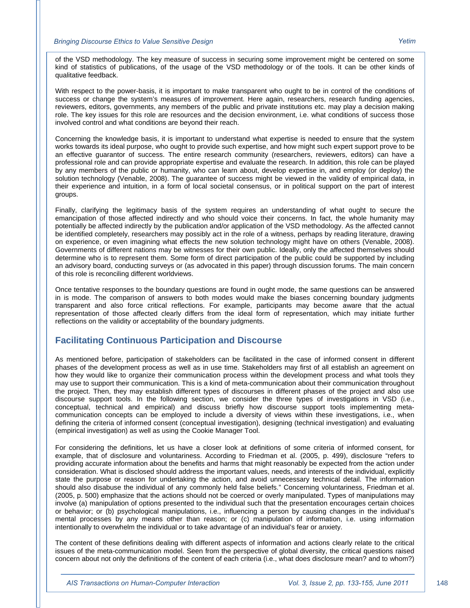of the VSD methodology. The key measure of success in securing some improvement might be centered on some kind of statistics of publications, of the usage of the VSD methodology or of the tools. It can be other kinds of qualitative feedback.

With respect to the power-basis, it is important to make transparent who ought to be in control of the conditions of success or change the system's measures of improvement. Here again, researchers, research funding agencies, reviewers, editors, governments, any members of the public and private institutions etc. may play a decision making role. The key issues for this role are resources and the decision environment, i.e. what conditions of success those involved control and what conditions are beyond their reach.

Concerning the knowledge basis, it is important to understand what expertise is needed to ensure that the system works towards its ideal purpose, who ought to provide such expertise, and how might such expert support prove to be an effective guarantor of success. The entire research community (researchers, reviewers, editors) can have a professional role and can provide appropriate expertise and evaluate the research. In addition, this role can be played by any members of the public or humanity, who can learn about, develop expertise in, and employ (or deploy) the solution technology (Venable, 2008). The guarantee of success might be viewed in the validity of empirical data, in their experience and intuition, in a form of local societal consensus, or in political support on the part of interest groups.

Finally, clarifying the legitimacy basis of the system requires an understanding of what ought to secure the emancipation of those affected indirectly and who should voice their concerns. In fact, the whole humanity may potentially be affected indirectly by the publication and/or application of the VSD methodology. As the affected cannot be identified completely, researchers may possibly act in the role of a witness, perhaps by reading literature, drawing on experience, or even imagining what effects the new solution technology might have on others (Venable, 2008). Governments of different nations may be witnesses for their own public. Ideally, only the affected themselves should determine who is to represent them. Some form of direct participation of the public could be supported by including an advisory board, conducting surveys or (as advocated in this paper) through discussion forums. The main concern of this role is reconciling different worldviews.

Once tentative responses to the boundary questions are found in ought mode, the same questions can be answered in is mode. The comparison of answers to both modes would make the biases concerning boundary judgments transparent and also force critical reflections. For example, participants may become aware that the actual representation of those affected clearly differs from the ideal form of representation, which may initiate further reflections on the validity or acceptability of the boundary judgments.

#### **Facilitating Continuous Participation and Discourse**

As mentioned before, participation of stakeholders can be facilitated in the case of informed consent in different phases of the development process as well as in use time. Stakeholders may first of all establish an agreement on how they would like to organize their communication process within the development process and what tools they may use to support their communication. This is a kind of meta-communication about their communication throughout the project. Then, they may establish different types of discourses in different phases of the project and also use discourse support tools. In the following section, we consider the three types of investigations in VSD (i.e., conceptual, technical and empirical) and discuss briefly how discourse support tools implementing metacommunication concepts can be employed to include a diversity of views within these investigations, i.e., when defining the criteria of informed consent (conceptual investigation), designing (technical investigation) and evaluating (empirical investigation) as well as using the Cookie Manager Tool.

For considering the definitions, let us have a closer look at definitions of some criteria of informed consent, for example, that of disclosure and voluntariness. According to Friedman et al. (2005, p. 499), disclosure "refers to providing accurate information about the benefits and harms that might reasonably be expected from the action under consideration. What is disclosed should address the important values, needs, and interests of the individual, explicitly state the purpose or reason for undertaking the action, and avoid unnecessary technical detail. The information should also disabuse the individual of any commonly held false beliefs." Concerning voluntariness, Friedman et al. (2005, p. 500) emphasize that the actions should not be coerced or overly manipulated. Types of manipulations may involve (a) manipulation of options presented to the individual such that the presentation encourages certain choices or behavior; or (b) psychological manipulations, i.e., influencing a person by causing changes in the individual's mental processes by any means other than reason; or (c) manipulation of information, i.e. using information intentionally to overwhelm the individual or to take advantage of an individual's fear or anxiety.

The content of these definitions dealing with different aspects of information and actions clearly relate to the critical issues of the meta-communication model. Seen from the perspective of global diversity, the critical questions raised concern about not only the definitions of the content of each criteria (i.e., what does disclosure mean? and to whom?)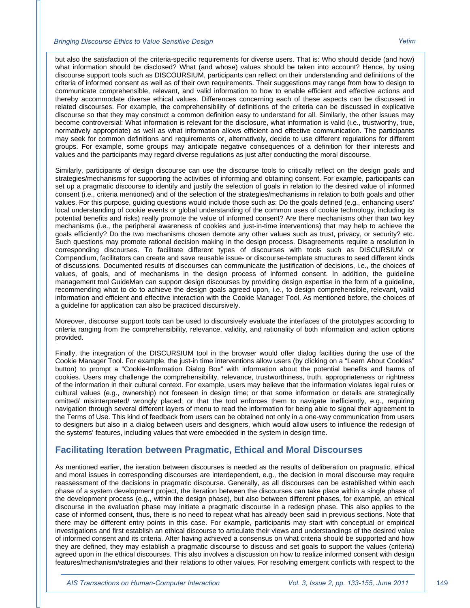but also the satisfaction of the criteria-specific requirements for diverse users. That is: Who should decide (and how) what information should be disclosed? What (and whose) values should be taken into account? Hence, by using discourse support tools such as DISCOURSIUM, participants can reflect on their understanding and definitions of the criteria of informed consent as well as of their own requirements. Their suggestions may range from how to design to communicate comprehensible, relevant, and valid information to how to enable efficient and effective actions and thereby accommodate diverse ethical values. Differences concerning each of these aspects can be discussed in related discourses. For example, the comprehensibility of definitions of the criteria can be discussed in explicative discourse so that they may construct a common definition easy to understand for all. Similarly, the other issues may become controversial: What information is relevant for the disclosure, what information is valid (i.e., trustworthy, true, normatively appropriate) as well as what information allows efficient and effective communication. The participants may seek for common definitions and requirements or, alternatively, decide to use different regulations for different groups. For example, some groups may anticipate negative consequences of a definition for their interests and values and the participants may regard diverse regulations as just after conducting the moral discourse.

Similarly, participants of design discourse can use the discourse tools to critically reflect on the design goals and strategies/mechanisms for supporting the activities of informing and obtaining consent. For example, participants can set up a pragmatic discourse to identify and justify the selection of goals in relation to the desired value of informed consent (i.e., criteria mentioned) and of the selection of the strategies/mechanisms in relation to both goals and other values. For this purpose, guiding questions would include those such as: Do the goals defined (e.g., enhancing users' local understanding of cookie events or global understanding of the common uses of cookie technology, including its potential benefits and risks) really promote the value of informed consent? Are there mechanisms other than two key mechanisms (i.e., the peripheral awareness of cookies and just-in-time interventions) that may help to achieve the goals efficiently? Do the two mechanisms chosen demote any other values such as trust, privacy, or security? etc. Such questions may promote rational decision making in the design process. Disagreements require a resolution in corresponding discourses. To facilitate different types of discourses with tools such as DISCURSIUM or Compendium, facilitators can create and save reusable issue- or discourse-template structures to seed different kinds of discussions. Documented results of discourses can communicate the justification of decisions, i.e., the choices of values, of goals, and of mechanisms in the design process of informed consent. In addition, the guideline management tool GuideMan can support design discourses by providing design expertise in the form of a guideline, recommending what to do to achieve the design goals agreed upon, i.e., to design comprehensible, relevant, valid information and efficient and effective interaction with the Cookie Manager Tool. As mentioned before, the choices of a guideline for application can also be practiced discursively.

Moreover, discourse support tools can be used to discursively evaluate the interfaces of the prototypes according to criteria ranging from the comprehensibility, relevance, validity, and rationality of both information and action options provided.

Finally, the integration of the DISCURSIUM tool in the browser would offer dialog facilities during the use of the Cookie Manager Tool. For example, the just-in time interventions allow users (by clicking on a "Learn About Cookies" button) to prompt a "Cookie-Information Dialog Box" with information about the potential benefits and harms of cookies. Users may challenge the comprehensibility, relevance, trustworthiness, truth, appropriateness or rightness of the information in their cultural context. For example, users may believe that the information violates legal rules or cultural values (e.g., ownership) not foreseen in design time; or that some information or details are strategically omitted/ misinterpreted/ wrongly placed; or that the tool enforces them to navigate inefficiently, e.g., requiring navigation through several different layers of menu to read the information for being able to signal their agreement to the Terms of Use. This kind of feedback from users can be obtained not only in a one-way communication from users to designers but also in a dialog between users and designers, which would allow users to influence the redesign of the systems' features, including values that were embedded in the system in design time.

#### **Facilitating Iteration between Pragmatic, Ethical and Moral Discourses**

As mentioned earlier, the iteration between discourses is needed as the results of deliberation on pragmatic, ethical and moral issues in corresponding discourses are interdependent, e.g., the decision in moral discourse may require reassessment of the decisions in pragmatic discourse. Generally, as all discourses can be established within each phase of a system development project, the iteration between the discourses can take place within a single phase of the development process (e.g., within the design phase), but also between different phases, for example, an ethical discourse in the evaluation phase may initiate a pragmatic discourse in a redesign phase. This also applies to the case of informed consent, thus, there is no need to repeat what has already been said in previous sections. Note that there may be different entry points in this case. For example, participants may start with conceptual or empirical investigations and first establish an ethical discourse to articulate their views and understandings of the desired value of informed consent and its criteria. After having achieved a consensus on what criteria should be supported and how they are defined, they may establish a pragmatic discourse to discuss and set goals to support the values (criteria) agreed upon in the ethical discourses. This also involves a discussion on how to realize informed consent with design features/mechanism/strategies and their relations to other values. For resolving emergent conflicts with respect to the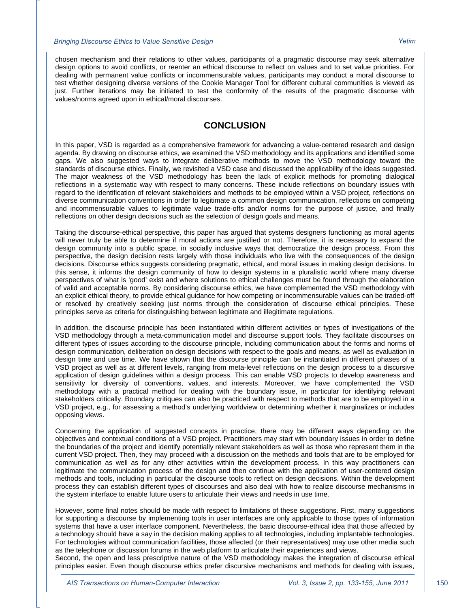chosen mechanism and their relations to other values, participants of a pragmatic discourse may seek alternative design options to avoid conflicts, or reenter an ethical discourse to reflect on values and to set value priorities. For dealing with permanent value conflicts or incommensurable values, participants may conduct a moral discourse to test whether designing diverse versions of the Cookie Manager Tool for different cultural communities is viewed as just. Further iterations may be initiated to test the conformity of the results of the pragmatic discourse with values/norms agreed upon in ethical/moral discourses.

#### **CONCLUSION**

In this paper, VSD is regarded as a comprehensive framework for advancing a value-centered research and design agenda. By drawing on discourse ethics, we examined the VSD methodology and its applications and identified some gaps. We also suggested ways to integrate deliberative methods to move the VSD methodology toward the standards of discourse ethics. Finally, we revisited a VSD case and discussed the applicability of the ideas suggested. The major weakness of the VSD methodology has been the lack of explicit methods for promoting dialogical reflections in a systematic way with respect to many concerns. These include reflections on boundary issues with regard to the identification of relevant stakeholders and methods to be employed within a VSD project, reflections on diverse communication conventions in order to legitimate a common design communication, reflections on competing and incommensurable values to legitimate value trade-offs and/or norms for the purpose of justice, and finally reflections on other design decisions such as the selection of design goals and means.

Taking the discourse-ethical perspective, this paper has argued that systems designers functioning as moral agents will never truly be able to determine if moral actions are justified or not. Therefore, it is necessary to expand the design community into a public space, in socially inclusive ways that democratize the design process. From this perspective, the design decision rests largely with those individuals who live with the consequences of the design decisions. Discourse ethics suggests considering pragmatic, ethical, and moral issues in making design decisions. In this sense, it informs the design community of how to design systems in a pluralistic world where many diverse perspectives of what is 'good' exist and where solutions to ethical challenges must be found through the elaboration of valid and acceptable norms. By considering discourse ethics, we have complemented the VSD methodology with an explicit ethical theory, to provide ethical guidance for how competing or incommensurable values can be traded-off or resolved by creatively seeking just norms through the consideration of discourse ethical principles. These principles serve as criteria for distinguishing between legitimate and illegitimate regulations.

In addition, the discourse principle has been instantiated within different activities or types of investigations of the VSD methodology through a meta-communication model and discourse support tools. They facilitate discourses on different types of issues according to the discourse principle, including communication about the forms and norms of design communication, deliberation on design decisions with respect to the goals and means, as well as evaluation in design time and use time. We have shown that the discourse principle can be instantiated in different phases of a VSD project as well as at different levels, ranging from meta-level reflections on the design process to a discursive application of design guidelines within a design process. This can enable VSD projects to develop awareness and sensitivity for diversity of conventions, values, and interests. Moreover, we have complemented the VSD methodology with a practical method for dealing with the boundary issue, in particular for identifying relevant stakeholders critically. Boundary critiques can also be practiced with respect to methods that are to be employed in a VSD project, e.g., for assessing a method's underlying worldview or determining whether it marginalizes or includes opposing views.

Concerning the application of suggested concepts in practice, there may be different ways depending on the objectives and contextual conditions of a VSD project. Practitioners may start with boundary issues in order to define the boundaries of the project and identify potentially relevant stakeholders as well as those who represent them in the current VSD project. Then, they may proceed with a discussion on the methods and tools that are to be employed for communication as well as for any other activities within the development process. In this way practitioners can legitimate the communication process of the design and then continue with the application of user-centered design methods and tools, including in particular the discourse tools to reflect on design decisions. Within the development process they can establish different types of discourses and also deal with how to realize discourse mechanisms in the system interface to enable future users to articulate their views and needs in use time.

However, some final notes should be made with respect to limitations of these suggestions. First, many suggestions for supporting a discourse by implementing tools in user interfaces are only applicable to those types of information systems that have a user interface component. Nevertheless, the basic discourse-ethical idea that those affected by a technology should have a say in the decision making applies to all technologies, including implantable technologies. For technologies without communication facilities, those affected (or their representatives) may use other media such as the telephone or discussion forums in the web platform to articulate their experiences and views.

Second, the open and less prescriptive nature of the VSD methodology makes the integration of discourse ethical principles easier. Even though discourse ethics prefer discursive mechanisms and methods for dealing with issues,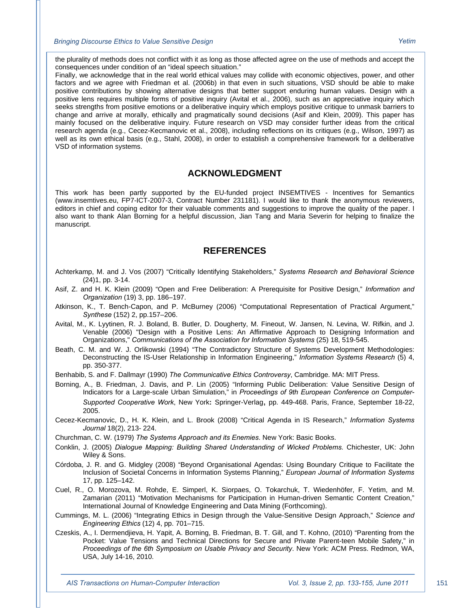the plurality of methods does not conflict with it as long as those affected agree on the use of methods and accept the consequences under condition of an "ideal speech situation."

Finally, we acknowledge that in the real world ethical values may collide with economic objectives, power, and other factors and we agree with Friedman et al. (2006b) in that even in such situations, VSD should be able to make positive contributions by showing alternative designs that better support enduring human values. Design with a positive lens requires multiple forms of positive inquiry (Avital et al., 2006), such as an appreciative inquiry which seeks strengths from positive emotions or a deliberative inquiry which employs positive critique to unmask barriers to change and arrive at morally, ethically and pragmatically sound decisions (Asif and Klein, 2009). This paper has mainly focused on the deliberative inquiry. Future research on VSD may consider further ideas from the critical research agenda (e.g., Cecez-Kecmanovic et al., 2008), including reflections on its critiques (e.g., Wilson, 1997) as well as its own ethical basis (e.g., Stahl, 2008), in order to establish a comprehensive framework for a deliberative VSD of information systems.

#### **ACKNOWLEDGMENT**

This work has been partly supported by the EU-funded project INSEMTIVES - Incentives for Semantics (www.insemtives.eu, FP7-ICT-2007-3, Contract Number 231181). I would like to thank the anonymous reviewers, editors in chief and coping editor for their valuable comments and suggestions to improve the quality of the paper. I also want to thank Alan Borning for a helpful discussion, Jian Tang and Maria Severin for helping to finalize the manuscript.

#### **REFERENCES**

- Achterkamp, M. and J. Vos (2007) "Critically Identifying Stakeholders," *Systems Research and Behavioral Science*  (24)1, pp. 3-14.
- Asif, Z. and H. K. Klein (2009) "Open and Free Deliberation: A Prerequisite for Positive Design," *Information and Organization* (19) 3, pp. 186–197.
- Atkinson, K., T. Bench-Capon, and P. McBurney (2006) "Computational Representation of Practical Argument," *Synthese* (152) 2, pp.157–206.
- Avital, M., K. Lyytinen, R. J. Boland, B. Butler, D. Dougherty, M. Fineout, W. Jansen, N. Levina, W. Rifkin, and J. Venable (2006) "Design with a Positive Lens: An Affirmative Approach to Designing Information and Organizations," *Communications of the Association for Information Systems* (25) 18, 519-545.
- Beath, C. M. and W. J. Orlikowski (1994) "The Contradictory Structure of Systems Development Methodologies: Deconstructing the IS-User Relationship in Information Engineering," *Information Systems Research* (5) 4, pp. 350-377.
- Benhabib, S. and F. Dallmayr (1990) *The Communicative Ethics Controversy*, Cambridge. MA: MIT Press.
- Borning, A., B. Friedman, J. Davis, and P. Lin (2005) "Informing Public Deliberation: Value Sensitive Design of Indicators for a Large-scale Urban Simulation," in *Proceedings of 9th European Conference on Computer-Supported Cooperative Work*, New York**:** Springer-Verlag, pp. 449-468. Paris, France, September 18-22, 2005.
- Cecez-Kecmanovic, D., H. K. Klein, and L. Brook (2008) "Critical Agenda in IS Research," *Information Systems Journal* 18(2), 213- 224.
- Churchman, C. W. (1979) *The Systems Approach and its Enemies*. New York: Basic Books.
- Conklin, J. (2005) *Dialogue Mapping: Building Shared Understanding of Wicked Problems.* Chichester, UK: John Wiley & Sons.
- Córdoba, J. R. and G. Midgley (2008) "Beyond Organisational Agendas: Using Boundary Critique to Facilitate the Inclusion of Societal Concerns in Information Systems Planning," *European Journal of Information Systems* 17, pp. 125–142.
- Cuel, R., O. Morozova, M. Rohde, E. Simperl, K. Siorpaes, O. Tokarchuk, T. Wiedenhöfer, F. Yetim, and M. Zamarian (2011) "Motivation Mechanisms for Participation in Human-driven Semantic Content Creation," International Journal of Knowledge Engineering and Data Mining (Forthcoming).
- Cummings, M. L. (2006) "Integrating Ethics in Design through the Value-Sensitive Design Approach," *Science and Engineering Ethics* (12) 4, pp. 701–715.
- Czeskis, A., I. Dermendjieva, H. Yapit, A. Borning, B. Friedman, B. T. Gill, and T. Kohno, (2010) "Parenting from the Pocket: Value Tensions and Technical Directions for Secure and Private Parent-teen Mobile Safety," in *Proceedings of the 6th Symposium on Usable Privacy and Security*. New York: ACM Press. Redmon, WA, USA, July 14-16, 2010.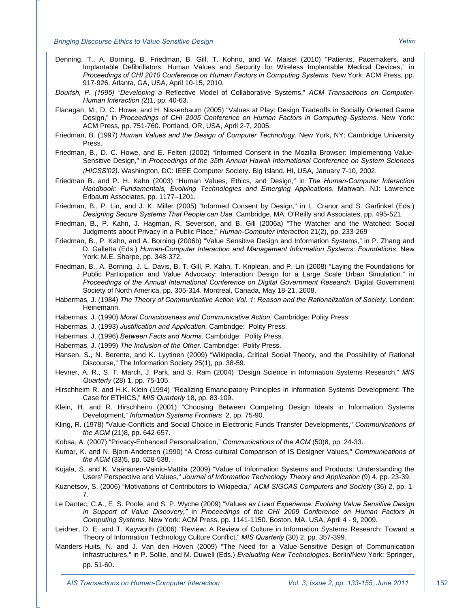- Denning, T., A. Borning, B. Friedman, B. Gill, T. Kohno, and W. Maisel (2010) "Patients, Pacemakers, and Implantable Defibrillators: Human Values and Security for Wireless Implantable Medical Devices," in *Proceedings of CHI 2010 Conference on Human Factors in Computing Systems*. New York: ACM Press, pp. 917-926. Atlanta, GA, USA, April 10-15, 2010.
- *Dourish, P. (1995) "Developing a* Reflective Model of Collaborative Systems," *ACM Transactions on Computer-Human Interaction (*2)1, pp. 40-63.
- Flanagan, M., D. C. Howe, and H. Nissenbaum (2005) "Values at Play: Design Tradeoffs in Socially Oriented Game Design," in *Proceedings of CHI 2005 Conference on Human Factors in Computing Systems*. New York: ACM Press, pp. 751-760. Portland, OR, USA, April 2-7, 2005.
- Friedman, B. (1997) *Human Values and the Design of Computer Technology.* New York, NY: Cambridge University Press.
- Friedman, B., D. C. Howe, and E. Felten (2002) "Informed Consent in the Mozilla Browser: Implementing Value-Sensitive Design," in *Proceedings of the 35th Annual Hawaii International Conference on System Sciences (HICSS'02)*. Washington, DC: IEEE Computer Society. Big Island, HI, USA, January 7-10, 2002.
- Friedman B. and P. H. Kahn (2003) "Human Values, Ethics, and Design," in *The Human-Computer Interaction Handbook: Fundamentals, Evolving Technologies and Emerging Applications*. Mahwah, NJ: Lawrence Erlbaum Associates, pp. 1177–1201.
- Friedman, B., P. Lin, and J. K. Miller (2005) "Informed Consent by Design," in L. Cranor and S. Garfinkel (Eds.) *Designing Secure Systems That People can Use*. Cambridge, MA: O'Reilly and Associates, pp. 495-521.
- Friedman, B., P. Kahn, J. Hagman, R. Severson, and B. Gill (2006a) "The Watcher and the Watched: Social Judgments about Privacy in a Public Place," *Human-Computer Interaction* 21(2), pp. 233-269
- Friedman, B., P. Kahn, and A. Borning (2006b) "Value Sensitive Design and Information Systems," in P. Zhang and D. Galletta (Eds.) *Human-Computer Interaction and Management Information Systems: Foundations*. New York: M.E. Sharpe, pp. 348-372.
- Friedman, B., A. Borning, J. L. Davis, B. T. Gill, P. Kahn, T. Kriplean, and P. Lin (2008) "Laying the Foundations for Public Participation and Value Advocacy: Interaction Design for a Large Scale Urban Simulation." in *Proceedings of the Annual International Conference on Digital Government Research.* Digital Government Society of North America, pp. 305-314. Montreal, Canada, May 18-21, 2008.
- Habermas, J. (1984) *The Theory of Communicative Action Vol. 1: Reason and the Rationalization of Society.* London: Heinemann.
- Habermas, J. (1990) *Moral Consciousness and Communicative Action.* Cambridge: Polity Press
- Habermas, J. (1993) *Justification and Application.* Cambridge:Polity Press.
- Habermas, J. (1996) *Between Facts and Norms.* Cambridge:Polity Press.
- Habermas, J. (1999) *The Inclusion of the Other.* Cambridge:Polity Press.
- Hansen, S., N. Berente, and K. Lyytinen (2009) "Wikipedia, Critical Social Theory, and the Possibility of Rational Discourse," The Information Society 25(1), pp. 38-59.
- Hevner, A. R., S. T. March, J. Park, and S. Ram (2004) "Design Science in Information Systems Research," *MIS Quarterly* (28) 1, pp. 75-105.
- Hirschheim R. and H.K. Klein (1994) "Realizing Emancipatory Principles in Information Systems Development: The Case for ETHICS," *MIS Quarterly* 18, pp. 83-109.
- Klein, H. and R. Hirschheim (2001) "Choosing Between Competing Design Ideals in Information Systems Development," *Information Systems Frontiers* 2, pp. 75-90.
- Kling, R. (1978) "Value-Conflicts and Social Choice in Electronic Funds Transfer Developments," *Communications of the ACM* (21)8, pp. 642-657.
- Kobsa, A. (2007) "Privacy-Enhanced Personalization," *Communications of the ACM* (50)8, pp. 24-33.
- Kumar, K. and N. Bjorn-Andersen (1990) "A Cross-cultural Comparison of IS Designer Values," *Communications of the ACM* (33)5, pp. 528-538.
- Kujala, S. and K. Väänänen-Vainio-Mattila (2009) "Value of Information Systems and Products: Understanding the Users' Perspective and Values," *Journal of Information Technology Theory and Application* (9) 4, pp. 23-39.
- Kuznetsov, S. (2006) "Motivations of Contributors to Wikipedia," *ACM SIGCAS Computers and Society* (36) 2, pp. 1- 7.
- Le Dantec, C.A., E. S. Poole, and S. P. Wyche (2009) "Values *as Lived Experience: Evolving Value Sensitive Design in Support of Value Discovery,"* in *Proceedings of the CHI 2009 Conference on Human Factors in Computing Systems.* New York: ACM Press, pp. 1141-1150. Boston, MA, USA, April 4 - 9, 2009.
- Leidner, D. E. and T. Kayworth (2006) "Review: A Review of Culture in Information Systems Research: Toward a Theory of Information Technology Culture Conflict," *MIS Quarterly* (30) 2, pp. 357-399.
- Manders-Huits, N. and J. Van den Hoven (2009) "The Need for a Value-Sensitive Design of Communication Infrastructures," in P. Sollie, and M. Duwell (Eds.) *Evaluating New Technologies*. Berlin/New York: Springer, pp. 51-60.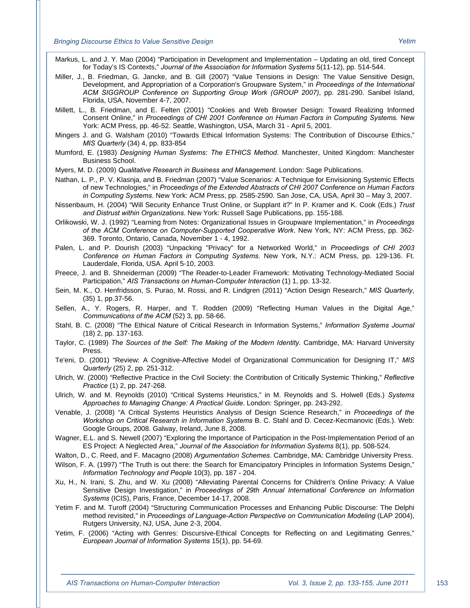Markus, L. and J. Y. Mao (2004) "Participation in Development and Implementation – Updating an old, tired Concept for Today's IS Contexts," *Journal of the Association for Information Systems* 5(11-12), pp. 514-544.

- Miller, J., B. Friedman, G. Jancke, and B. Gill (2007) "Value Tensions in Design: The Value Sensitive Design, Development, and Appropriation of a Corporation's Groupware System," in *Proceedings of the International ACM SIGGROUP Conference on Supporting Group Work (GROUP 2007)*, pp. 281-290. Sanibel Island, Florida, USA, November 4-7, 2007.
- Millett, L., B. Friedman, and E. Felten (2001) "Cookies and Web Browser Design: Toward Realizing Informed Consent Online," in *Proceedings of CHI 2001 Conference on Human Factors in Computing Systems.* New York: ACM Press, pp. 46-52. Seattle, Washington, USA, March 31 - April 5, 2001.
- Mingers J. and G. Walsham (2010) "Towards Ethical Information Systems: The Contribution of Discourse Ethics," *MIS Quarterly* (34) 4, pp. 833-854
- Mumford, E. (1983) *Designing Human Systems: The ETHICS Method*. Manchester, United Kingdom: Manchester Business School.
- Myers, M. D. (2009) *Qualitative Research in Business and Management*. London: Sage Publications.
- Nathan, L. P., P. V. Klasnja, and B. Friedman (2007) "Value Scenarios: A Technique for Envisioning Systemic Effects of new Technologies," in *Proceedings of the Extended Abstracts of CHI 2007 Conference on Human Factors in Computing Systems*. New York: ACM Press, pp. 2585-2590. San Jose, CA, USA, April 30 – May 3, 2007.
- Nissenbaum, H. (2004) "Will Security Enhance Trust Online, or Supplant it?" In P. Kramer and K. Cook (Eds.) *Trust and Distrust within Organizations*. New York: Russell Sage Publications, pp. 155-188.
- Orlikowski, W. J. (1992) "Learning from Notes: Organizational Issues in Groupware Implementation," in *Proceedings of the ACM Conference on Computer-Supported Cooperative Work*. New York, NY: ACM Press, pp. 362- 369. Toronto, Ontario, Canada, November 1 - 4, 1992.
- Palen, L. and P. Dourish (2003) "Unpacking "Privacy" for a Networked World," in *Proceedings of CHI 2003 Conference on Human Factors in Computing Systems.* New York, N.Y.: ACM Press, pp. 129-136. Ft. Lauderdale, Florida, USA. April 5-10, 2003.
- Preece, J. and B. Shneiderman (2009) "The Reader-to-Leader Framework: Motivating Technology-Mediated Social Participation," *AIS Transactions on Human-Computer Interaction* (1) 1, pp. 13-32.
- Sein, M. K., O. Henfridsson, S. Purao, M. Rossi, and R. Lindgren (2011) "Action Design Research," *MIS Quarterly*, (35) 1, pp.37-56.
- Sellen, A., Y. Rogers, R. Harper, and T. Rodden (2009) "Reflecting Human Values in the Digital Age," *Communications of the ACM* (52) 3, pp. 58-66.
- Stahl, B. C. (2008) "The Ethical Nature of Critical Research in Information Systems," *Information Systems Journal* (18) 2, pp. 137-163.
- Taylor, C. (1989) *The Sources of the Self: The Making of the Modern Identity.* Cambridge, MA: Harvard University Press.
- Te'eni, D. (2001) "Review: A Cognitive-Affective Model of Organizational Communication for Designing IT," *MIS Quarterly* (25) 2, pp. 251-312.
- Ulrich, W. (2000) "Reflective Practice in the Civil Society: the Contribution of Critically Systemic Thinking," *Reflective Practice* (1) 2, pp. 247-268.
- Ulrich, W. and M. Reynolds (2010) "Critical Systems Heuristics," in M. Reynolds and S. Holwell (Eds.) *Systems Approaches to Managing Change: A Practical Guide*. London: Springer, pp. 243-292.
- Venable, J. (2008) "A Critical Systems Heuristics Analysis of Design Science Research," in *Proceedings of the Workshop on Critical Research in Information Systems* B. C. Stahl and D. Cecez-Kecmanovic (Eds.)*.* Web: Google Groups, 2008. Galway, Ireland, June 8, 2008.
- Wagner, E.L. and S. Newell (2007) "Exploring the Importance of Participation in the Post-Implementation Period of an ES Project: A Neglected Area," *Journal of the Association for Information Systems* 8(1), pp. 508-524.
- Walton, D., C. Reed, and F. Macagno (2008) *Argumentation Schemes*. Cambridge, MA: Cambridge University Press.
- Wilson, F. A. (1997) "The Truth is out there: the Search for Emancipatory Principles in Information Systems Design," *Information Technology and People* 10(3), pp. 187 - 204.
- Xu, H., N. Irani, S. Zhu, and W. Xu (2008) "Alleviating Parental Concerns for Children's Online Privacy: A Value Sensitive Design Investigation," in *Proceedings of 29th Annual International Conference on Information Systems* (ICIS), Paris, France, December 14-17, 2008.
- Yetim F. and M. Turoff (2004) "Structuring Communication Processes and Enhancing Public Discourse: The Delphi method revisited," in *Proceedings of Language-Action Perspective on Communication Modeling* (LAP 2004), Rutgers University, NJ, USA, June 2-3, 2004.
- Yetim, F. (2006) "Acting with Genres: Discursive-Ethical Concepts for Reflecting on and Legitimating Genres," *European Journal of Information Systems* 15(1), pp. 54-69.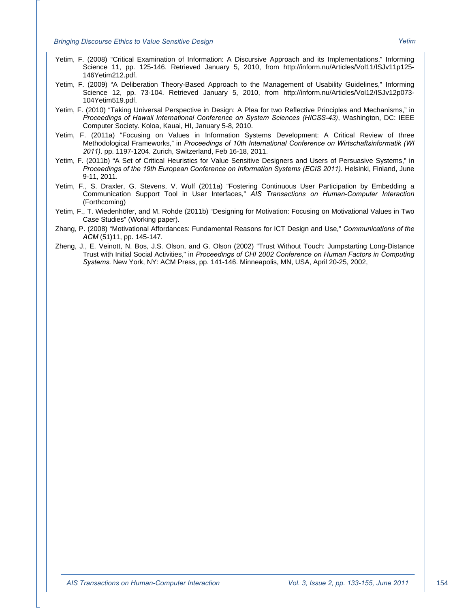- Yetim, F. (2008) "Critical Examination of Information: A Discursive Approach and its Implementations," Informing Science 11, pp. 125-146. Retrieved January 5, 2010, from http://inform.nu/Articles/Vol11/ISJv11p125- 146Yetim212.pdf.
- Yetim, F. (2009) "A Deliberation Theory-Based Approach to the Management of Usability Guidelines," Informing Science 12, pp. 73-104. Retrieved January 5, 2010, from http://inform.nu/Articles/Vol12/ISJv12p073- 104Yetim519.pdf.
- Yetim, F. (2010) "Taking Universal Perspective in Design: A Plea for two Reflective Principles and Mechanisms," in *Proceedings of Hawaii International Conference on System Sciences (HICSS-43)*, Washington, DC: IEEE Computer Society. Koloa, Kauai, HI, January 5-8, 2010.
- Yetim, F. (2011a) "Focusing on Values in Information Systems Development: A Critical Review of three Methodological Frameworks," in *Proceedings of 10th International Conference on Wirtschaftsinformatik (WI 2011)*. pp. 1197-1204. Zurich, Switzerland, Feb 16-18, 2011.
- Yetim, F. (2011b) "A Set of Critical Heuristics for Value Sensitive Designers and Users of Persuasive Systems," in *Proceedings of the 19th European Conference on Information Systems (ECIS 2011).* Helsinki, Finland, June 9-11, 2011.
- Yetim, F., S. Draxler, G. Stevens, V. Wulf (2011a) "Fostering Continuous User Participation by Embedding a Communication Support Tool in User Interfaces," *AIS Transactions on Human-Computer Interaction* (Forthcoming)
- Yetim, F., T. Wiedenhöfer, and M. Rohde (2011b) "Designing for Motivation: Focusing on Motivational Values in Two Case Studies" (Working paper).
- Zhang, P. (2008) "Motivational Affordances: Fundamental Reasons for ICT Design and Use," *Communications of the ACM* (51)11, pp. 145-147.
- Zheng, J., E. Veinott, N. Bos, J.S. Olson, and G. Olson (2002) "Trust Without Touch: Jumpstarting Long-Distance Trust with Initial Social Activities," in *Proceedings of CHI 2002 Conference on Human Factors in Computing Systems.* New York, NY: ACM Press, pp. 141-146. Minneapolis, MN, USA, April 20-25, 2002,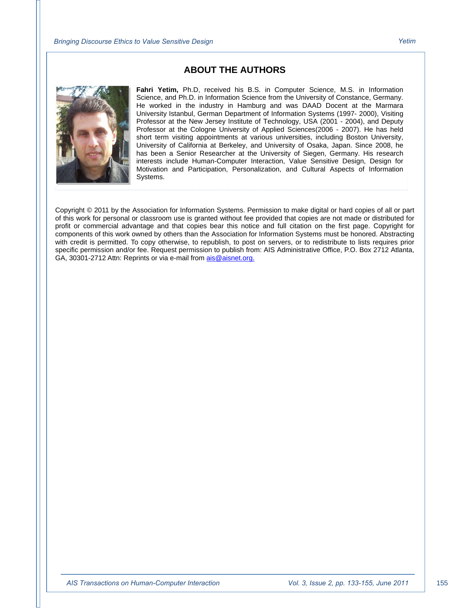#### **ABOUT THE AUTHORS**



**Fahri Yetim,** Ph.D, received his B.S. in Computer Science, M.S. in Information Science, and Ph.D. in Information Science from the University of Constance, Germany. He worked in the industry in Hamburg and was DAAD Docent at the Marmara University Istanbul, German Department of Information Systems (1997- 2000), Visiting Professor at the New Jersey Institute of Technology, USA (2001 - 2004), and Deputy Professor at the Cologne University of Applied Sciences(2006 - 2007). He has held short term visiting appointments at various universities, including Boston University, University of California at Berkeley, and University of Osaka, Japan. Since 2008, he has been a Senior Researcher at the University of Siegen, Germany. His research interests include Human-Computer Interaction, Value Sensitive Design, Design for Motivation and Participation, Personalization, and Cultural Aspects of Information Systems.

Copyright © 2011 by the Association for Information Systems. Permission to make digital or hard copies of all or part of this work for personal or classroom use is granted without fee provided that copies are not made or distributed for profit or commercial advantage and that copies bear this notice and full citation on the first page. Copyright for components of this work owned by others than the Association for Information Systems must be honored. Abstracting with credit is permitted. To copy otherwise, to republish, to post on servers, or to redistribute to lists requires prior specific permission and/or fee. Request permission to publish from: AIS Administrative Office, P.O. Box 2712 Atlanta, GA, 30301-2712 Attn: Reprints or via e-mail from ais@aisnet.org.